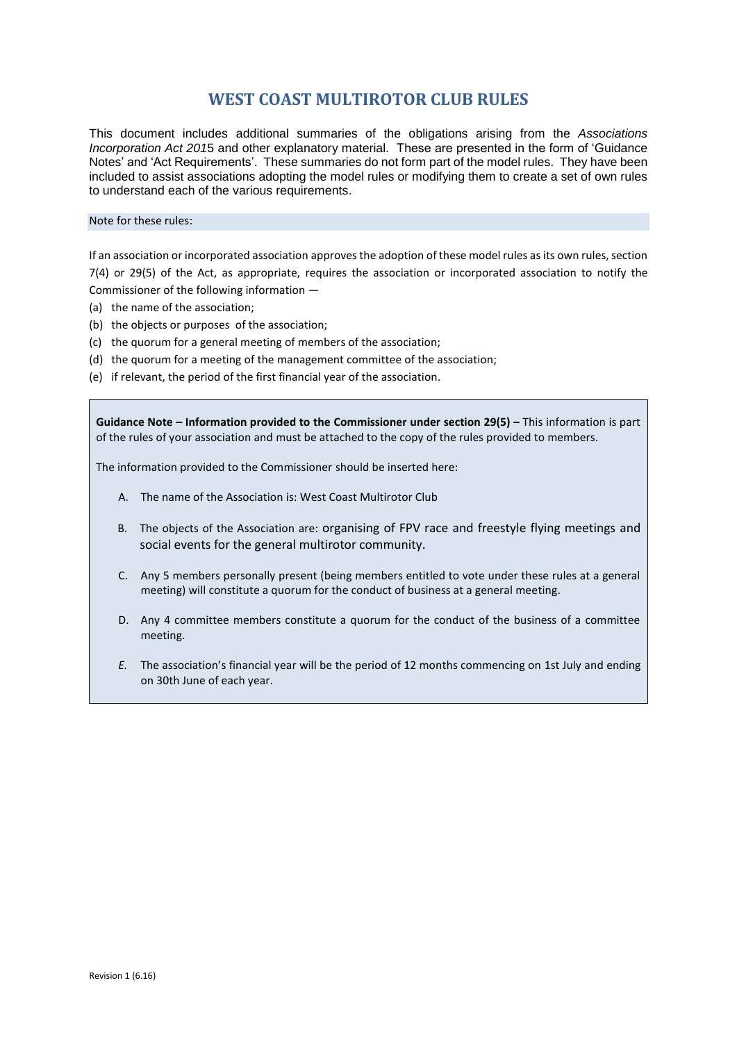# **WEST COAST MULTIROTOR CLUB RULES**

This document includes additional summaries of the obligations arising from the *Associations Incorporation Act 201*5 and other explanatory material. These are presented in the form of 'Guidance Notes' and 'Act Requirements'. These summaries do not form part of the model rules. They have been included to assist associations adopting the model rules or modifying them to create a set of own rules to understand each of the various requirements.

#### Note for these rules:

If an association or incorporated association approves the adoption of these model rules as its own rules, section 7(4) or 29(5) of the Act, as appropriate, requires the association or incorporated association to notify the Commissioner of the following information —

- (a) the name of the association;
- (b) the objects or purposes of the association;
- (c) the quorum for a general meeting of members of the association;
- (d) the quorum for a meeting of the management committee of the association;
- (e) if relevant, the period of the first financial year of the association.

**Guidance Note – Information provided to the Commissioner under section 29(5) –** This information is part of the rules of your association and must be attached to the copy of the rules provided to members.

The information provided to the Commissioner should be inserted here:

- A. The name of the Association is: West Coast Multirotor Club
- B. The objects of the Association are: organising of FPV race and freestyle flying meetings and social events for the general multirotor community.
- C. Any 5 members personally present (being members entitled to vote under these rules at a general meeting) will constitute a quorum for the conduct of business at a general meeting.
- D. Any 4 committee members constitute a quorum for the conduct of the business of a committee meeting.
- *E.* The association's financial year will be the period of 12 months commencing on 1st July and ending on 30th June of each year.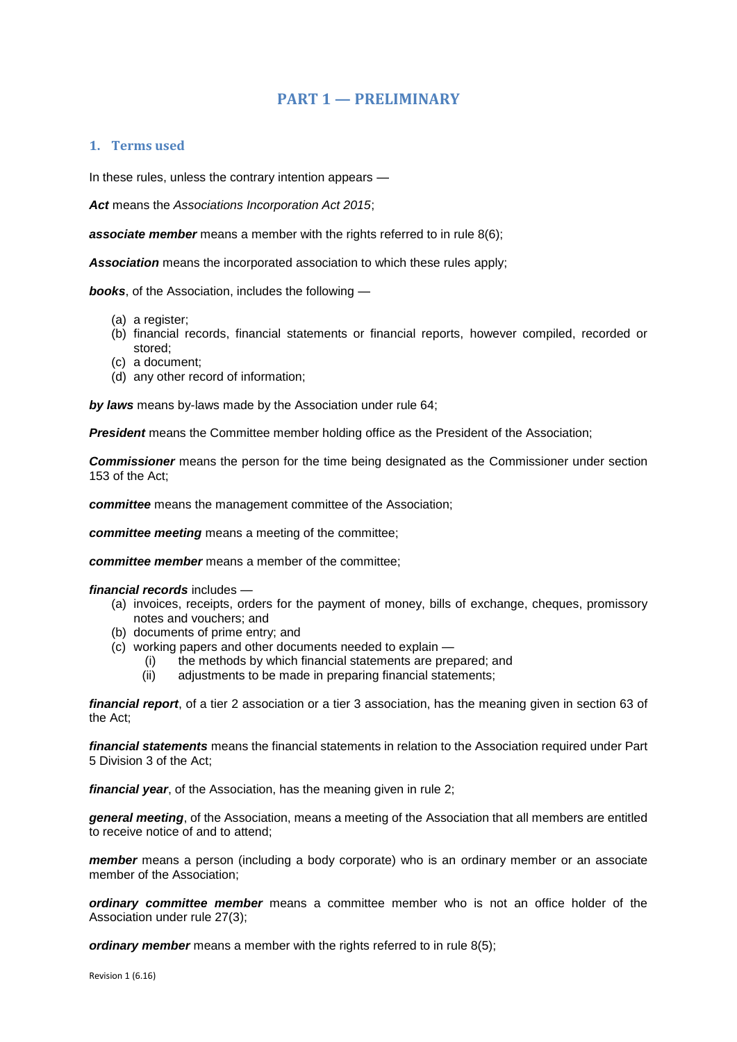# **PART 1 — PRELIMINARY**

## **1. Terms used**

In these rules, unless the contrary intention appears —

*Act* means the *Associations Incorporation Act 2015*;

**associate member** means a member with the rights referred to in rule 8(6);

*Association* means the incorporated association to which these rules apply;

*books*, of the Association, includes the following —

- (a) a register;
- (b) financial records, financial statements or financial reports, however compiled, recorded or stored;
- (c) a document;
- (d) any other record of information;

*by laws* means by-laws made by the Association under rule 64;

*President* means the Committee member holding office as the President of the Association;

*Commissioner* means the person for the time being designated as the Commissioner under section 153 of the Act;

*committee* means the management committee of the Association;

*committee meeting* means a meeting of the committee;

*committee member* means a member of the committee;

*financial records* includes —

- (a) invoices, receipts, orders for the payment of money, bills of exchange, cheques, promissory notes and vouchers; and
- (b) documents of prime entry; and
- (c) working papers and other documents needed to explain
	- (i) the methods by which financial statements are prepared; and
	- (ii) adjustments to be made in preparing financial statements;

*financial report*, of a tier 2 association or a tier 3 association, has the meaning given in section 63 of the Act;

*financial statements* means the financial statements in relation to the Association required under Part 5 Division 3 of the Act;

*financial year*, of the Association, has the meaning given in rule 2;

*general meeting*, of the Association, means a meeting of the Association that all members are entitled to receive notice of and to attend;

*member* means a person (including a body corporate) who is an ordinary member or an associate member of the Association;

*ordinary committee member* means a committee member who is not an office holder of the Association under rule 27(3);

*ordinary member* means a member with the rights referred to in rule 8(5);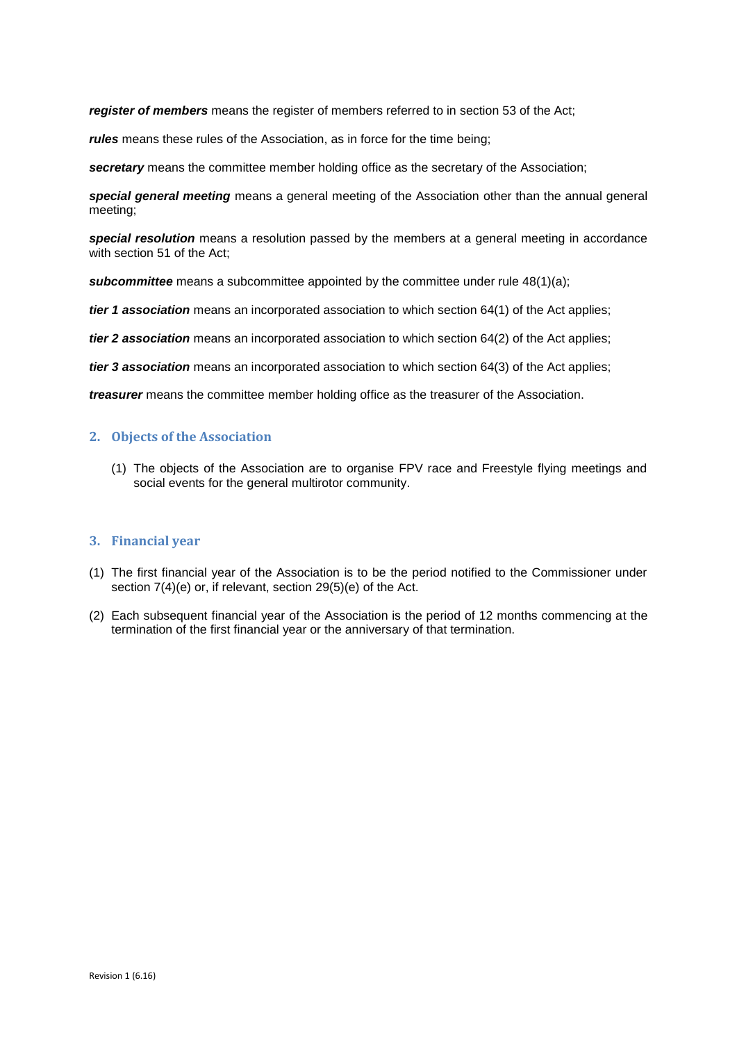*register of members* means the register of members referred to in section 53 of the Act;

*rules* means these rules of the Association, as in force for the time being;

*secretary* means the committee member holding office as the secretary of the Association;

*special general meeting* means a general meeting of the Association other than the annual general meeting;

*special resolution* means a resolution passed by the members at a general meeting in accordance with section 51 of the Act;

**subcommittee** means a subcommittee appointed by the committee under rule 48(1)(a);

*tier 1 association* means an incorporated association to which section 64(1) of the Act applies;

*tier 2 association* means an incorporated association to which section 64(2) of the Act applies;

*tier 3 association* means an incorporated association to which section 64(3) of the Act applies;

*treasurer* means the committee member holding office as the treasurer of the Association.

## **2. Objects of the Association**

(1) The objects of the Association are to organise FPV race and Freestyle flying meetings and social events for the general multirotor community.

### **3. Financial year**

- (1) The first financial year of the Association is to be the period notified to the Commissioner under section 7(4)(e) or, if relevant, section 29(5)(e) of the Act.
- (2) Each subsequent financial year of the Association is the period of 12 months commencing at the termination of the first financial year or the anniversary of that termination.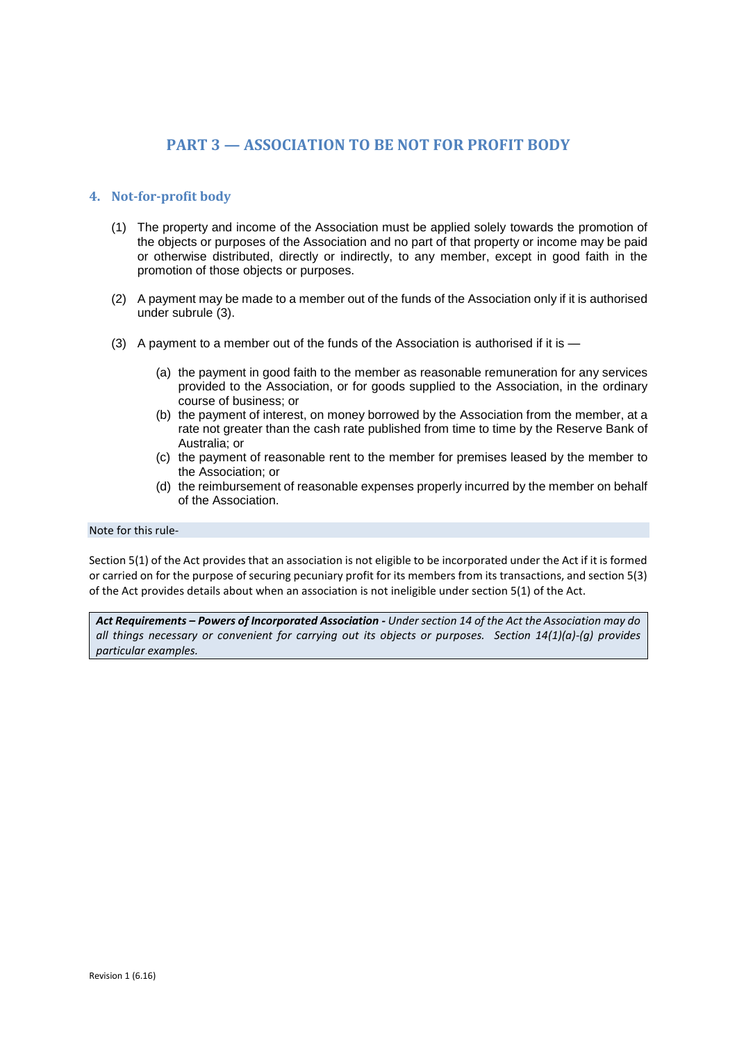# **PART 3 — ASSOCIATION TO BE NOT FOR PROFIT BODY**

## **4. Not-for-profit body**

- (1) The property and income of the Association must be applied solely towards the promotion of the objects or purposes of the Association and no part of that property or income may be paid or otherwise distributed, directly or indirectly, to any member, except in good faith in the promotion of those objects or purposes.
- (2) A payment may be made to a member out of the funds of the Association only if it is authorised under subrule (3).
- (3) A payment to a member out of the funds of the Association is authorised if it is
	- (a) the payment in good faith to the member as reasonable remuneration for any services provided to the Association, or for goods supplied to the Association, in the ordinary course of business; or
	- (b) the payment of interest, on money borrowed by the Association from the member, at a rate not greater than the cash rate published from time to time by the Reserve Bank of Australia; or
	- (c) the payment of reasonable rent to the member for premises leased by the member to the Association; or
	- (d) the reimbursement of reasonable expenses properly incurred by the member on behalf of the Association.

#### Note for this rule-

Section 5(1) of the Act provides that an association is not eligible to be incorporated under the Act if it is formed or carried on for the purpose of securing pecuniary profit for its members from its transactions, and section 5(3) of the Act provides details about when an association is not ineligible under section 5(1) of the Act.

*Act Requirements – Powers of Incorporated Association - Under section 14 of the Act the Association may do all things necessary or convenient for carrying out its objects or purposes. Section 14(1)(a)-(g) provides particular examples.*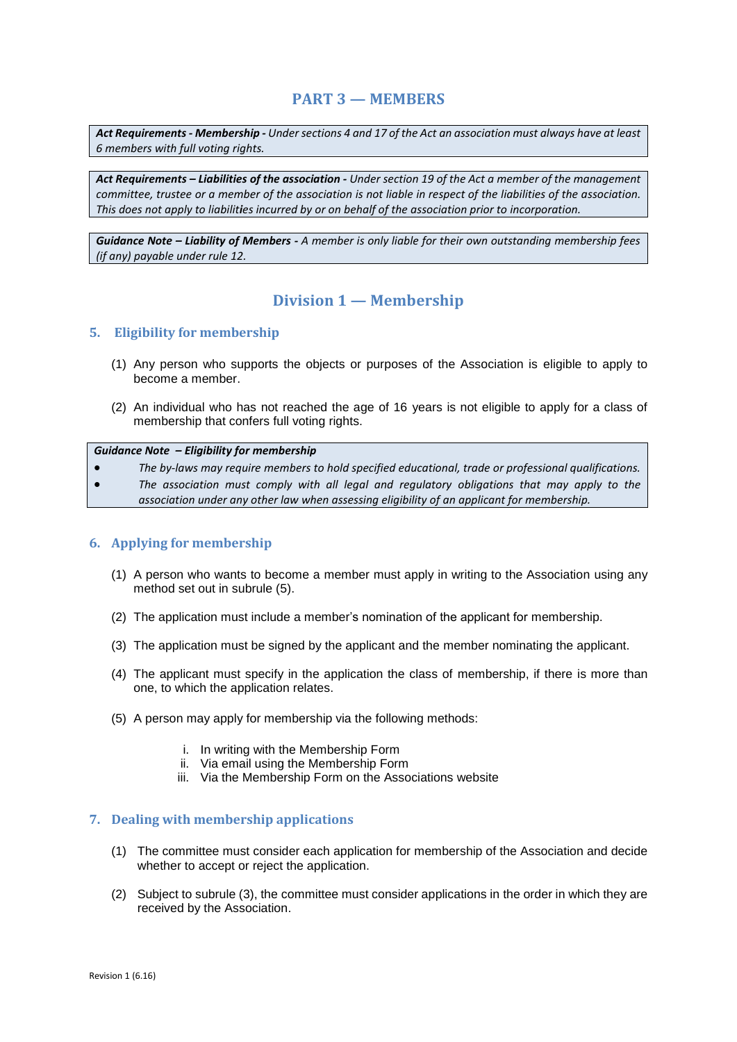# **PART 3 — MEMBERS**

*Act Requirements - Membership - Under sections 4 and 17 of the Act an association must always have at least 6 members with full voting rights.*

*Act Requirements – Liabilities of the association - Under section 19 of the Act a member of the management committee, trustee or a member of the association is not liable in respect of the liabilities of the association. This does not apply to liabilities incurred by or on behalf of the association prior to incorporation.* 

*Guidance Note – Liability of Members - A member is only liable for their own outstanding membership fees (if any) payable under rule 12.*

# **Division 1 — Membership**

## **5. Eligibility for membership**

- (1) Any person who supports the objects or purposes of the Association is eligible to apply to become a member.
- (2) An individual who has not reached the age of 16 years is not eligible to apply for a class of membership that confers full voting rights.

#### *Guidance Note – Eligibility for membership*

- *The by-laws may require members to hold specified educational, trade or professional qualifications.*
- *The association must comply with all legal and regulatory obligations that may apply to the association under any other law when assessing eligibility of an applicant for membership.*

### **6. Applying for membership**

- (1) A person who wants to become a member must apply in writing to the Association using any method set out in subrule (5).
- (2) The application must include a member's nomination of the applicant for membership.
- (3) The application must be signed by the applicant and the member nominating the applicant.
- (4) The applicant must specify in the application the class of membership, if there is more than one, to which the application relates.
- (5) A person may apply for membership via the following methods:
	- i. In writing with the Membership Form
	- ii. Via email using the Membership Form
	- iii. Via the Membership Form on the Associations website

### **7. Dealing with membership applications**

- (1) The committee must consider each application for membership of the Association and decide whether to accept or reject the application.
- (2) Subject to subrule (3), the committee must consider applications in the order in which they are received by the Association.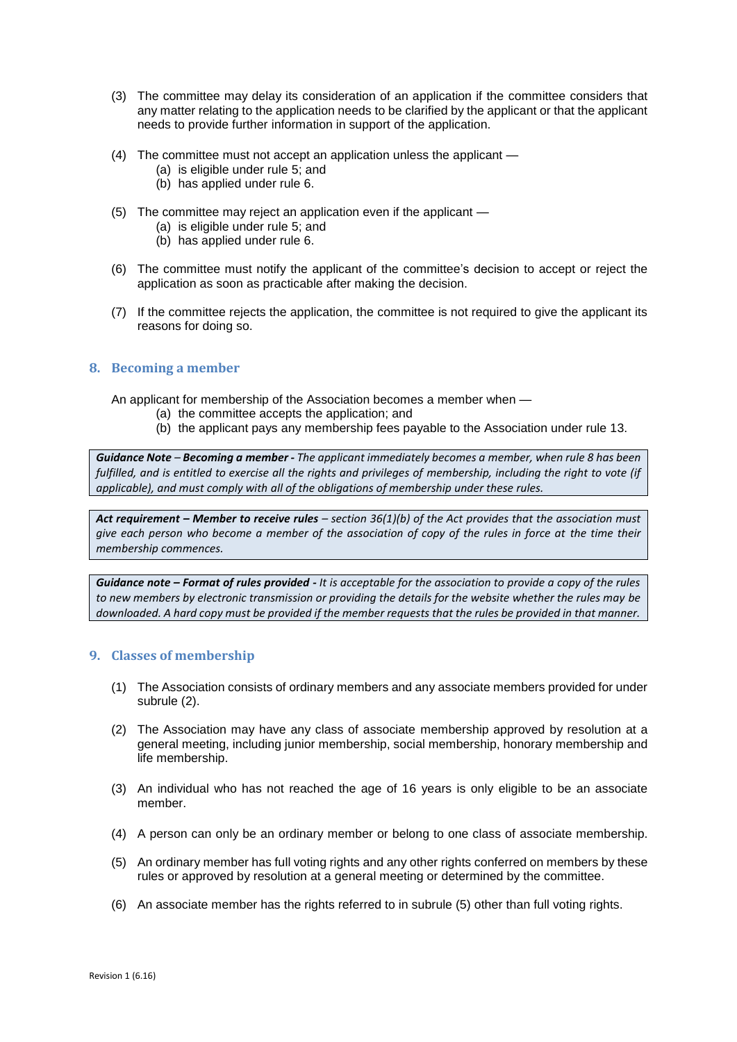- (3) The committee may delay its consideration of an application if the committee considers that any matter relating to the application needs to be clarified by the applicant or that the applicant needs to provide further information in support of the application.
- (4) The committee must not accept an application unless the applicant
	- (a) is eligible under rule 5; and
	- (b) has applied under rule 6.
- (5) The committee may reject an application even if the applicant
	- (a) is eligible under rule 5; and
	- (b) has applied under rule 6.
- (6) The committee must notify the applicant of the committee's decision to accept or reject the application as soon as practicable after making the decision.
- (7) If the committee rejects the application, the committee is not required to give the applicant its reasons for doing so.

## **8. Becoming a member**

An applicant for membership of the Association becomes a member when —

- (a) the committee accepts the application; and
- (b) the applicant pays any membership fees payable to the Association under rule 13.

*Guidance Note – Becoming a member - The applicant immediately becomes a member, when rule 8 has been fulfilled, and is entitled to exercise all the rights and privileges of membership, including the right to vote (if applicable), and must comply with all of the obligations of membership under these rules.* 

*Act requirement – Member to receive rules – section 36(1)(b) of the Act provides that the association must give each person who become a member of the association of copy of the rules in force at the time their membership commences.* 

*Guidance note – Format of rules provided - It is acceptable for the association to provide a copy of the rules to new members by electronic transmission or providing the details for the website whether the rules may be downloaded. A hard copy must be provided if the member requests that the rules be provided in that manner.*

## **9. Classes of membership**

- (1) The Association consists of ordinary members and any associate members provided for under subrule (2).
- (2) The Association may have any class of associate membership approved by resolution at a general meeting, including junior membership, social membership, honorary membership and life membership.
- (3) An individual who has not reached the age of 16 years is only eligible to be an associate member.
- (4) A person can only be an ordinary member or belong to one class of associate membership.
- (5) An ordinary member has full voting rights and any other rights conferred on members by these rules or approved by resolution at a general meeting or determined by the committee.
- (6) An associate member has the rights referred to in subrule (5) other than full voting rights.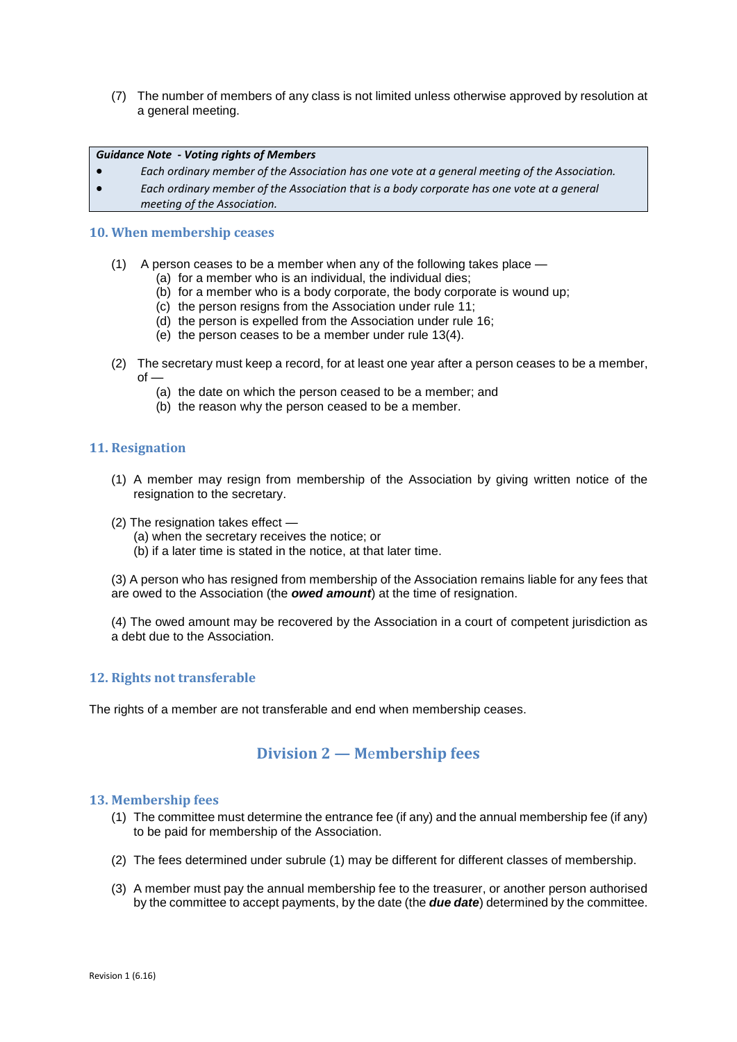(7) The number of members of any class is not limited unless otherwise approved by resolution at a general meeting.

#### *Guidance Note - Voting rights of Members*

- *Each ordinary member of the Association has one vote at a general meeting of the Association.*
- *Each ordinary member of the Association that is a body corporate has one vote at a general meeting of the Association.*

#### **10. When membership ceases**

- (1) A person ceases to be a member when any of the following takes place
	- (a) for a member who is an individual, the individual dies;
	- $(b)$  for a member who is a body corporate, the body corporate is wound up:
	- (c) the person resigns from the Association under rule 11;
	- (d) the person is expelled from the Association under rule 16;
	- (e) the person ceases to be a member under rule 13(4).
- (2) The secretary must keep a record, for at least one year after a person ceases to be a member, of —
	- (a) the date on which the person ceased to be a member; and
	- (b) the reason why the person ceased to be a member.

### **11. Resignation**

- (1) A member may resign from membership of the Association by giving written notice of the resignation to the secretary.
- (2) The resignation takes effect
	- (a) when the secretary receives the notice; or
	- (b) if a later time is stated in the notice, at that later time.

(3) A person who has resigned from membership of the Association remains liable for any fees that are owed to the Association (the *owed amount*) at the time of resignation.

(4) The owed amount may be recovered by the Association in a court of competent jurisdiction as a debt due to the Association.

### **12. Rights not transferable**

The rights of a member are not transferable and end when membership ceases.

## **Division 2 — M**e**mbership fees**

#### **13. Membership fees**

- (1) The committee must determine the entrance fee (if any) and the annual membership fee (if any) to be paid for membership of the Association.
- (2) The fees determined under subrule (1) may be different for different classes of membership.
- (3) A member must pay the annual membership fee to the treasurer, or another person authorised by the committee to accept payments, by the date (the *due date*) determined by the committee.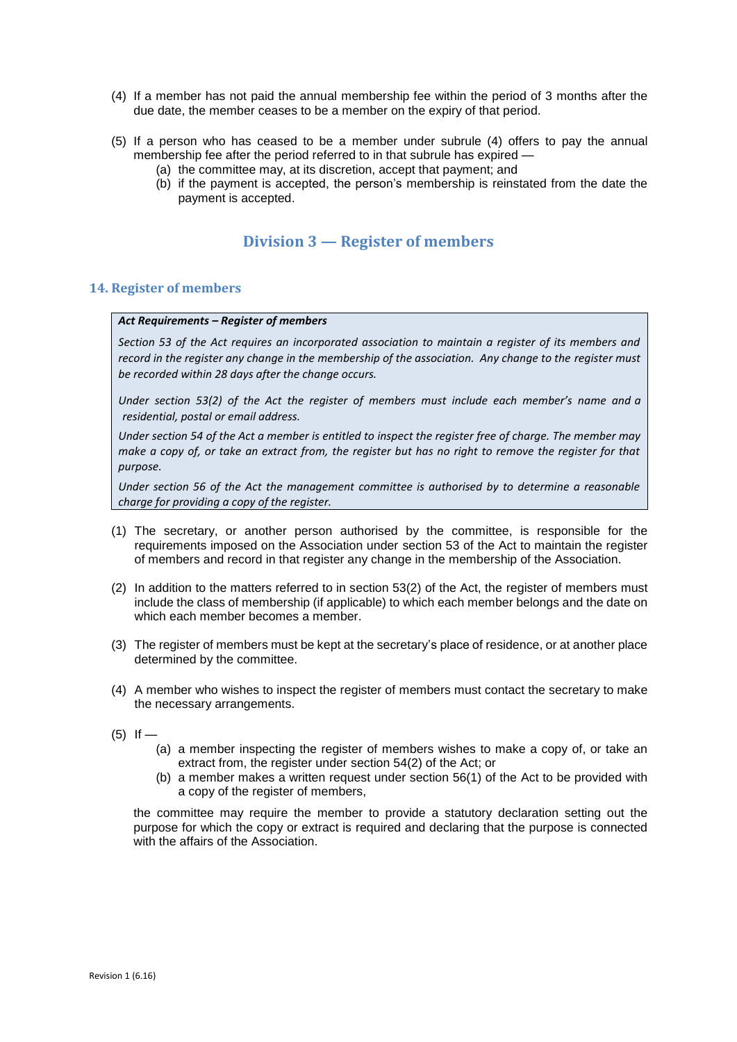- (4) If a member has not paid the annual membership fee within the period of 3 months after the due date, the member ceases to be a member on the expiry of that period.
- (5) If a person who has ceased to be a member under subrule (4) offers to pay the annual membership fee after the period referred to in that subrule has expired —
	- (a) the committee may, at its discretion, accept that payment; and
	- (b) if the payment is accepted, the person's membership is reinstated from the date the payment is accepted.

# **Division 3 — Register of members**

### **14. Register of members**

#### *Act Requirements – Register of members*

*Section 53 of the Act requires an incorporated association to maintain a register of its members and record in the register any change in the membership of the association. Any change to the register must be recorded within 28 days after the change occurs.*

*Under section 53(2) of the Act the register of members must include each member's name and a residential, postal or email address.* 

*Under section 54 of the Act a member is entitled to inspect the register free of charge. The member may make a copy of, or take an extract from, the register but has no right to remove the register for that purpose.* 

*Under section 56 of the Act the management committee is authorised by to determine a reasonable charge for providing a copy of the register.* 

- (1) The secretary, or another person authorised by the committee, is responsible for the requirements imposed on the Association under section 53 of the Act to maintain the register of members and record in that register any change in the membership of the Association.
- (2) In addition to the matters referred to in section 53(2) of the Act, the register of members must include the class of membership (if applicable) to which each member belongs and the date on which each member becomes a member.
- (3) The register of members must be kept at the secretary's place of residence, or at another place determined by the committee.
- (4) A member who wishes to inspect the register of members must contact the secretary to make the necessary arrangements.
- $(5)$  If
	- (a) a member inspecting the register of members wishes to make a copy of, or take an extract from, the register under section 54(2) of the Act; or
	- (b) a member makes a written request under section 56(1) of the Act to be provided with a copy of the register of members,

the committee may require the member to provide a statutory declaration setting out the purpose for which the copy or extract is required and declaring that the purpose is connected with the affairs of the Association.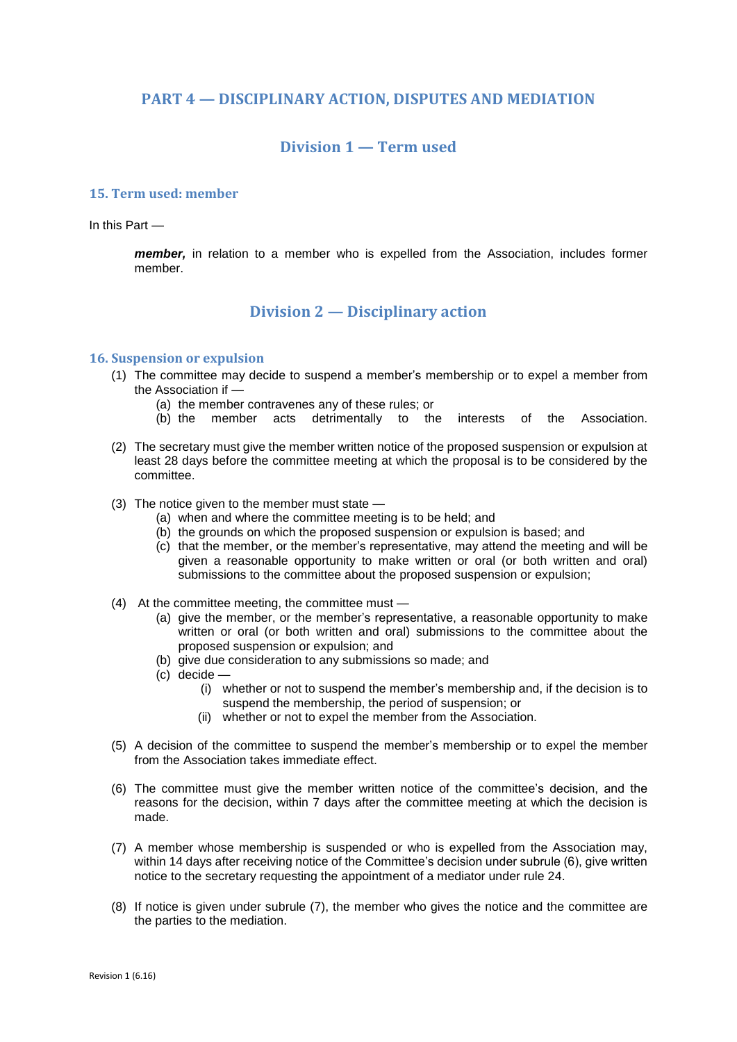## **PART 4 — DISCIPLINARY ACTION, DISPUTES AND MEDIATION**

# **Division 1 — Term used**

### **15. Term used: member**

In this Part —

*member,* in relation to a member who is expelled from the Association, includes former member.

## **Division 2 — Disciplinary action**

## **16. Suspension or expulsion**

- (1) The committee may decide to suspend a member's membership or to expel a member from the Association if —
	- (a) the member contravenes any of these rules; or
	- (b) the member acts detrimentally to the interests of the Association.
- (2) The secretary must give the member written notice of the proposed suspension or expulsion at least 28 days before the committee meeting at which the proposal is to be considered by the committee.
- (3) The notice given to the member must state
	- (a) when and where the committee meeting is to be held; and
	- (b) the grounds on which the proposed suspension or expulsion is based; and
	- (c) that the member, or the member's representative, may attend the meeting and will be given a reasonable opportunity to make written or oral (or both written and oral) submissions to the committee about the proposed suspension or expulsion;
- (4) At the committee meeting, the committee must
	- (a) give the member, or the member's representative, a reasonable opportunity to make written or oral (or both written and oral) submissions to the committee about the proposed suspension or expulsion; and
	- (b) give due consideration to any submissions so made; and
	- (c) decide
		- (i) whether or not to suspend the member's membership and, if the decision is to suspend the membership, the period of suspension; or
		- (ii) whether or not to expel the member from the Association.
- (5) A decision of the committee to suspend the member's membership or to expel the member from the Association takes immediate effect.
- (6) The committee must give the member written notice of the committee's decision, and the reasons for the decision, within 7 days after the committee meeting at which the decision is made.
- (7) A member whose membership is suspended or who is expelled from the Association may, within 14 days after receiving notice of the Committee's decision under subrule (6), give written notice to the secretary requesting the appointment of a mediator under rule 24.
- (8) If notice is given under subrule (7), the member who gives the notice and the committee are the parties to the mediation.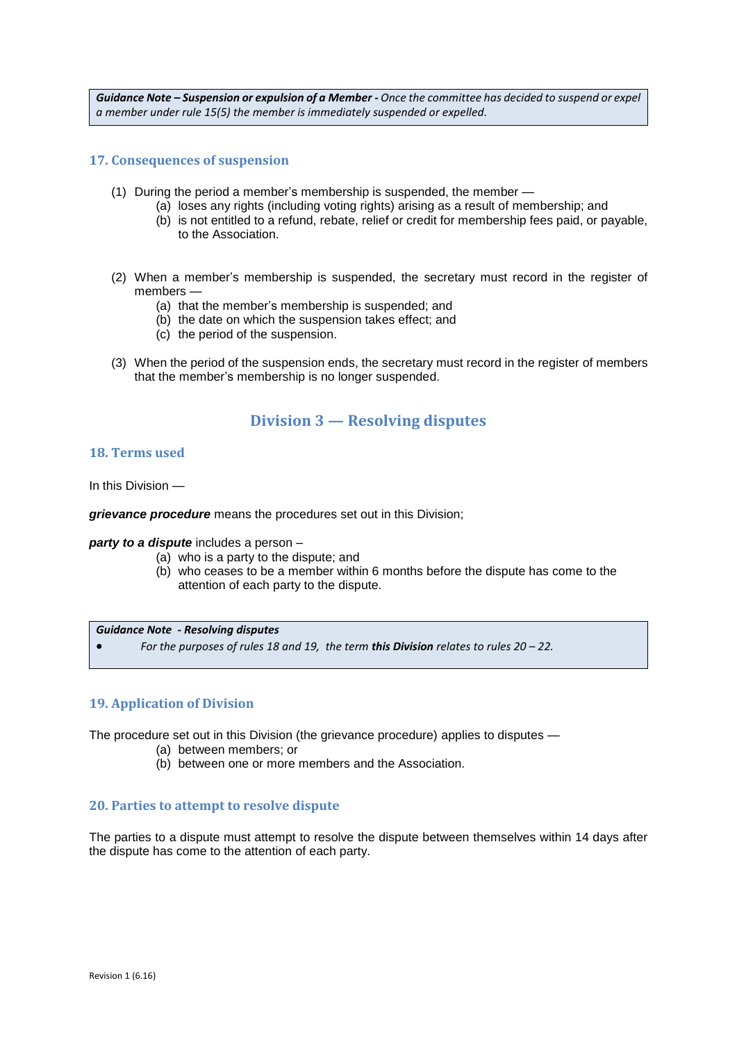*Guidance Note – Suspension or expulsion of a Member - Once the committee has decided to suspend or expel a member under rule 15(5) the member is immediately suspended or expelled.* 

## **17. Consequences of suspension**

- (1) During the period a member's membership is suspended, the member
	- (a) loses any rights (including voting rights) arising as a result of membership; and
		- (b) is not entitled to a refund, rebate, relief or credit for membership fees paid, or payable, to the Association.
- (2) When a member's membership is suspended, the secretary must record in the register of members —
	- (a) that the member's membership is suspended; and
	- (b) the date on which the suspension takes effect; and
	- (c) the period of the suspension.
- (3) When the period of the suspension ends, the secretary must record in the register of members that the member's membership is no longer suspended.

## **Division 3 — Resolving disputes**

### **18. Terms used**

In this Division —

*grievance procedure* means the procedures set out in this Division;

*party to a dispute* includes a person –

- (a) who is a party to the dispute; and
- (b) who ceases to be a member within 6 months before the dispute has come to the attention of each party to the dispute.

*Guidance Note - Resolving disputes*

*For the purposes of rules 18 and 19, the term this Division relates to rules 20 – 22.*

### **19. Application of Division**

The procedure set out in this Division (the grievance procedure) applies to disputes —

- (a) between members; or
- (b) between one or more members and the Association.

### **20. Parties to attempt to resolve dispute**

The parties to a dispute must attempt to resolve the dispute between themselves within 14 days after the dispute has come to the attention of each party.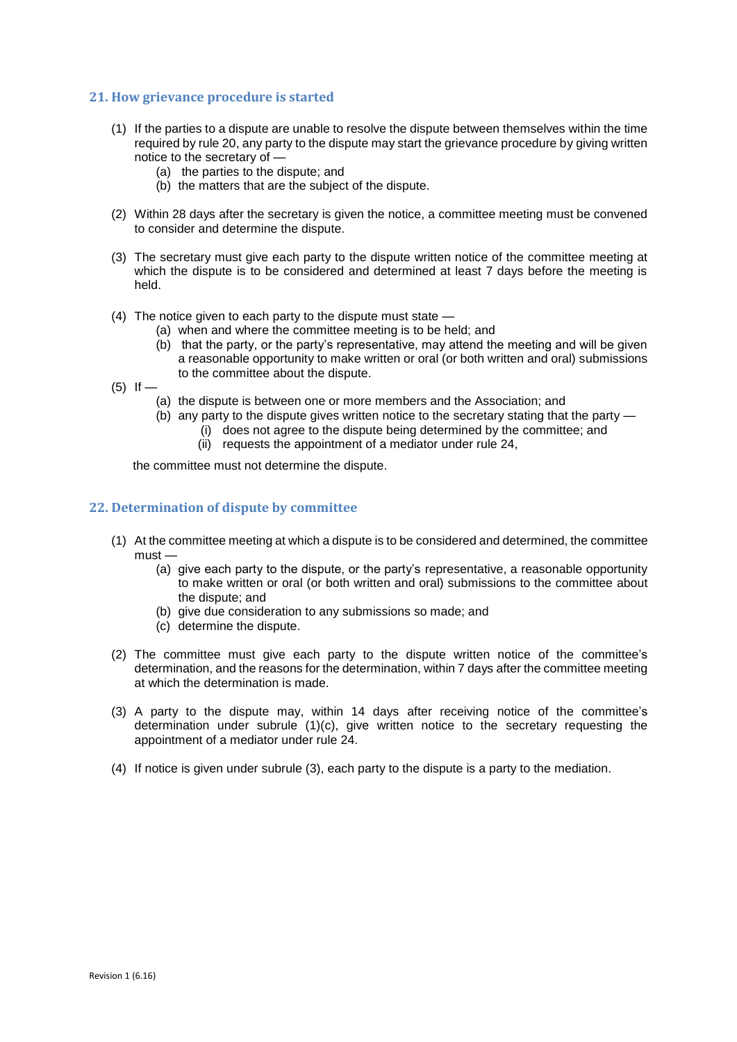## **21. How grievance procedure is started**

- (1) If the parties to a dispute are unable to resolve the dispute between themselves within the time required by rule 20, any party to the dispute may start the grievance procedure by giving written notice to the secretary of —
	- (a) the parties to the dispute; and
	- (b) the matters that are the subject of the dispute.
- (2) Within 28 days after the secretary is given the notice, a committee meeting must be convened to consider and determine the dispute.
- (3) The secretary must give each party to the dispute written notice of the committee meeting at which the dispute is to be considered and determined at least 7 days before the meeting is held.
- (4) The notice given to each party to the dispute must state
	- (a) when and where the committee meeting is to be held; and
	- (b) that the party, or the party's representative, may attend the meeting and will be given a reasonable opportunity to make written or oral (or both written and oral) submissions to the committee about the dispute.
- $(5)$  If
	- (a) the dispute is between one or more members and the Association; and
	- (b) any party to the dispute gives written notice to the secretary stating that the party
		- (i) does not agree to the dispute being determined by the committee; and
		- (ii) requests the appointment of a mediator under rule 24,

the committee must not determine the dispute.

### **22. Determination of dispute by committee**

- (1) At the committee meeting at which a dispute is to be considered and determined, the committee must —
	- (a) give each party to the dispute, or the party's representative, a reasonable opportunity to make written or oral (or both written and oral) submissions to the committee about the dispute; and
	- (b) give due consideration to any submissions so made; and
	- (c) determine the dispute.
- (2) The committee must give each party to the dispute written notice of the committee's determination, and the reasons for the determination, within 7 days after the committee meeting at which the determination is made.
- (3) A party to the dispute may, within 14 days after receiving notice of the committee's determination under subrule (1)(c), give written notice to the secretary requesting the appointment of a mediator under rule 24.
- (4) If notice is given under subrule (3), each party to the dispute is a party to the mediation.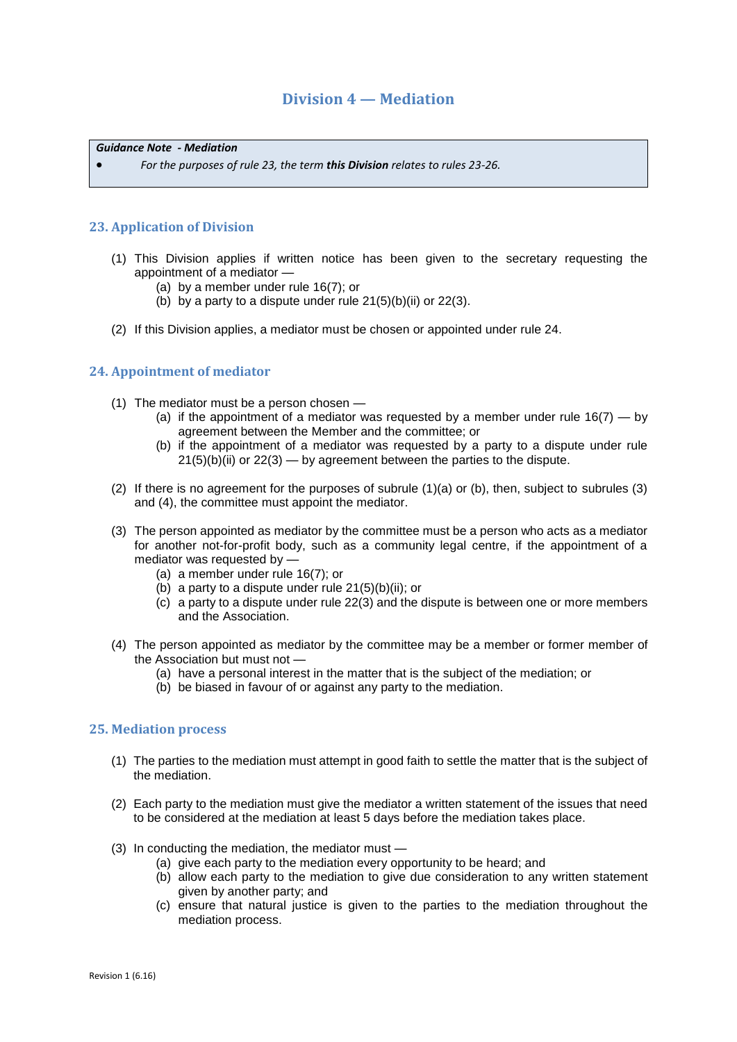# **Division 4 — Mediation**

*Guidance Note - Mediation*

*For the purposes of rule 23, the term this Division relates to rules 23-26.*

## **23. Application of Division**

- (1) This Division applies if written notice has been given to the secretary requesting the appointment of a mediator —
	- (a) by a member under rule 16(7); or
	- (b) by a party to a dispute under rule  $21(5)(b)(ii)$  or  $22(3)$ .
- (2) If this Division applies, a mediator must be chosen or appointed under rule 24.

## **24. Appointment of mediator**

- (1) The mediator must be a person chosen
	- (a) if the appointment of a mediator was requested by a member under rule  $16(7) -$  by agreement between the Member and the committee; or
	- (b) if the appointment of a mediator was requested by a party to a dispute under rule  $21(5)(b)(ii)$  or  $22(3)$  — by agreement between the parties to the dispute.
- (2) If there is no agreement for the purposes of subrule (1)(a) or (b), then, subject to subrules (3) and (4), the committee must appoint the mediator.
- (3) The person appointed as mediator by the committee must be a person who acts as a mediator for another not-for-profit body, such as a community legal centre, if the appointment of a mediator was requested by —
	- (a) a member under rule 16(7); or
	- (b) a party to a dispute under rule  $21(5)(b)(ii)$ ; or
	- (c) a party to a dispute under rule 22(3) and the dispute is between one or more members and the Association.
- (4) The person appointed as mediator by the committee may be a member or former member of the Association but must not —
	- (a) have a personal interest in the matter that is the subject of the mediation; or
	- (b) be biased in favour of or against any party to the mediation.

### **25. Mediation process**

- (1) The parties to the mediation must attempt in good faith to settle the matter that is the subject of the mediation.
- (2) Each party to the mediation must give the mediator a written statement of the issues that need to be considered at the mediation at least 5 days before the mediation takes place.
- (3) In conducting the mediation, the mediator must
	- (a) give each party to the mediation every opportunity to be heard; and
	- (b) allow each party to the mediation to give due consideration to any written statement given by another party; and
	- (c) ensure that natural justice is given to the parties to the mediation throughout the mediation process.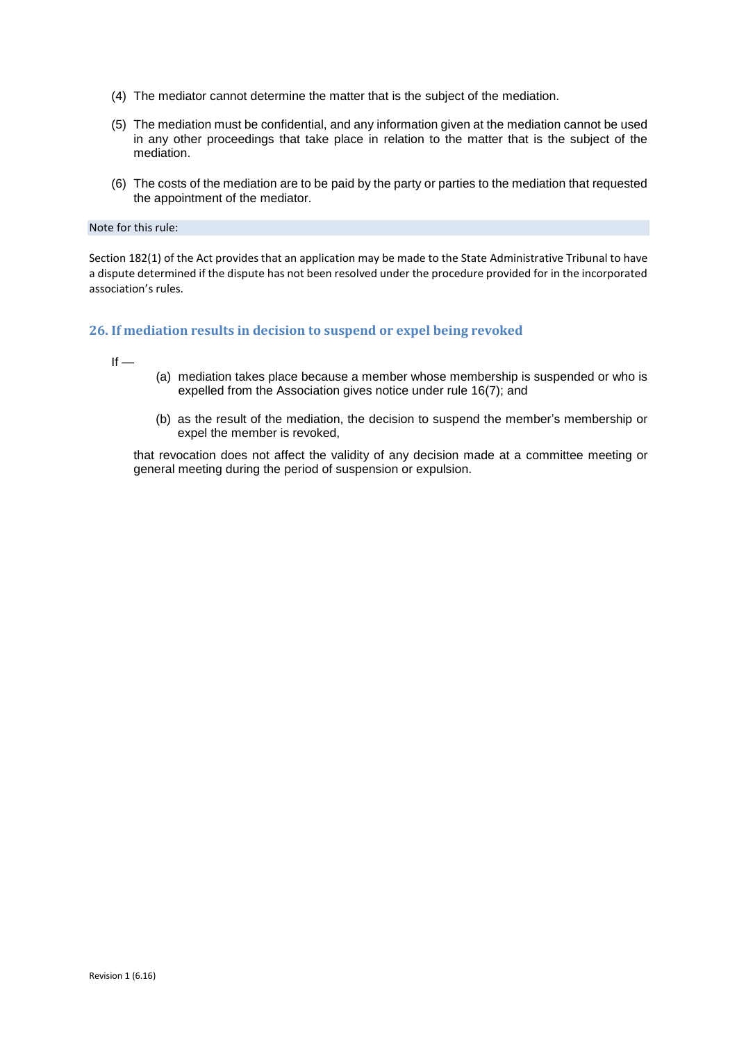- (4) The mediator cannot determine the matter that is the subject of the mediation.
- (5) The mediation must be confidential, and any information given at the mediation cannot be used in any other proceedings that take place in relation to the matter that is the subject of the mediation.
- (6) The costs of the mediation are to be paid by the party or parties to the mediation that requested the appointment of the mediator.

#### Note for this rule:

Section 182(1) of the Act provides that an application may be made to the State Administrative Tribunal to have a dispute determined if the dispute has not been resolved under the procedure provided for in the incorporated association's rules.

#### **26. If mediation results in decision to suspend or expel being revoked**

 $If -$ 

- (a) mediation takes place because a member whose membership is suspended or who is expelled from the Association gives notice under rule 16(7); and
- (b) as the result of the mediation, the decision to suspend the member's membership or expel the member is revoked,

that revocation does not affect the validity of any decision made at a committee meeting or general meeting during the period of suspension or expulsion.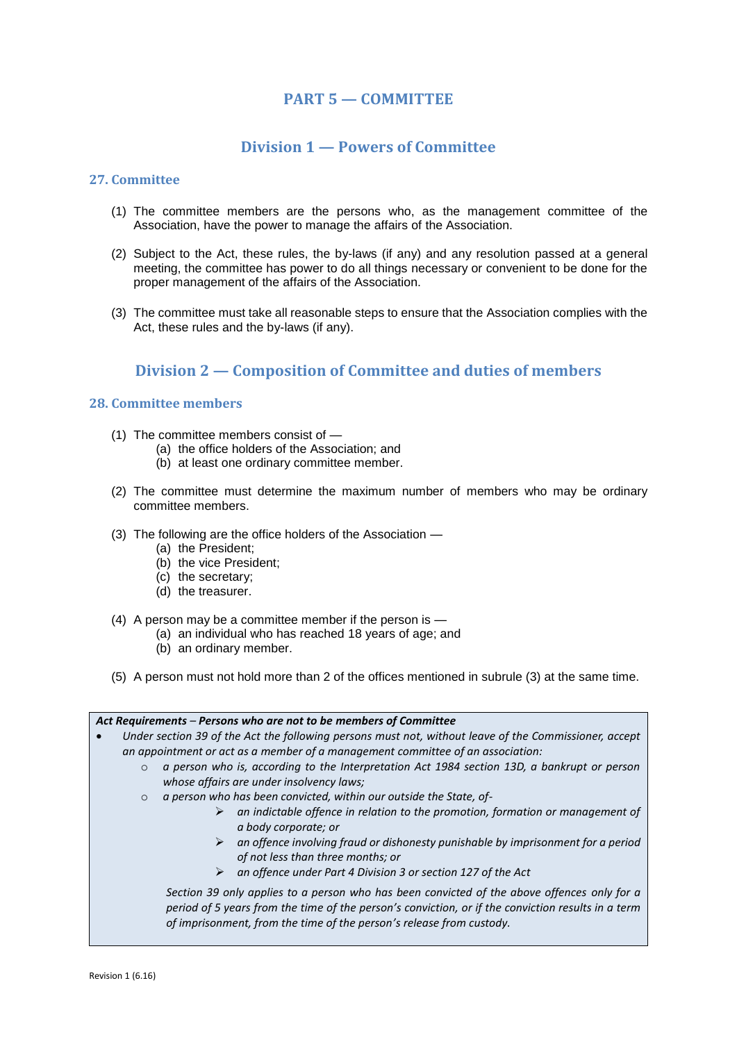# **PART 5 — COMMITTEE**

# **Division 1 — Powers of Committee**

## **27. Committee**

- (1) The committee members are the persons who, as the management committee of the Association, have the power to manage the affairs of the Association.
- (2) Subject to the Act, these rules, the by-laws (if any) and any resolution passed at a general meeting, the committee has power to do all things necessary or convenient to be done for the proper management of the affairs of the Association.
- (3) The committee must take all reasonable steps to ensure that the Association complies with the Act, these rules and the by-laws (if any).

# **Division 2 — Composition of Committee and duties of members**

## **28. Committee members**

- (1) The committee members consist of
	- (a) the office holders of the Association; and
	- (b) at least one ordinary committee member.
- (2) The committee must determine the maximum number of members who may be ordinary committee members.
- (3) The following are the office holders of the Association
	- (a) the President;
	- (b) the vice President;
	- (c) the secretary;
	- (d) the treasurer.
- (4) A person may be a committee member if the person is
	- (a) an individual who has reached 18 years of age; and
	- (b) an ordinary member.
- (5) A person must not hold more than 2 of the offices mentioned in subrule (3) at the same time.

| Act Requirements – Persons who are not to be members of Committee                                      |
|--------------------------------------------------------------------------------------------------------|
| Under section 39 of the Act the following persons must not, without leave of the Commissioner, accept  |
| an appointment or act as a member of a management committee of an association:                         |
| a person who is, according to the Interpretation Act 1984 section 13D, a bankrupt or person<br>$\circ$ |
| whose affairs are under insolvency laws;                                                               |
| a person who has been convicted, within our outside the State, of-<br>$\circ$                          |
| an indictable offence in relation to the promotion, formation or management of<br>➤                    |
| a body corporate; or                                                                                   |
| $\triangleright$ an offence involving fraud or dishonesty punishable by imprisonment for a period      |
| of not less than three months; or                                                                      |
| an offence under Part 4 Division 3 or section 127 of the Act                                           |
| Section 39 only applies to a person who has been convicted of the above offences only for a            |
| period of 5 years from the time of the person's conviction, or if the conviction results in a term     |
| of imprisonment, from the time of the person's release from custody.                                   |
|                                                                                                        |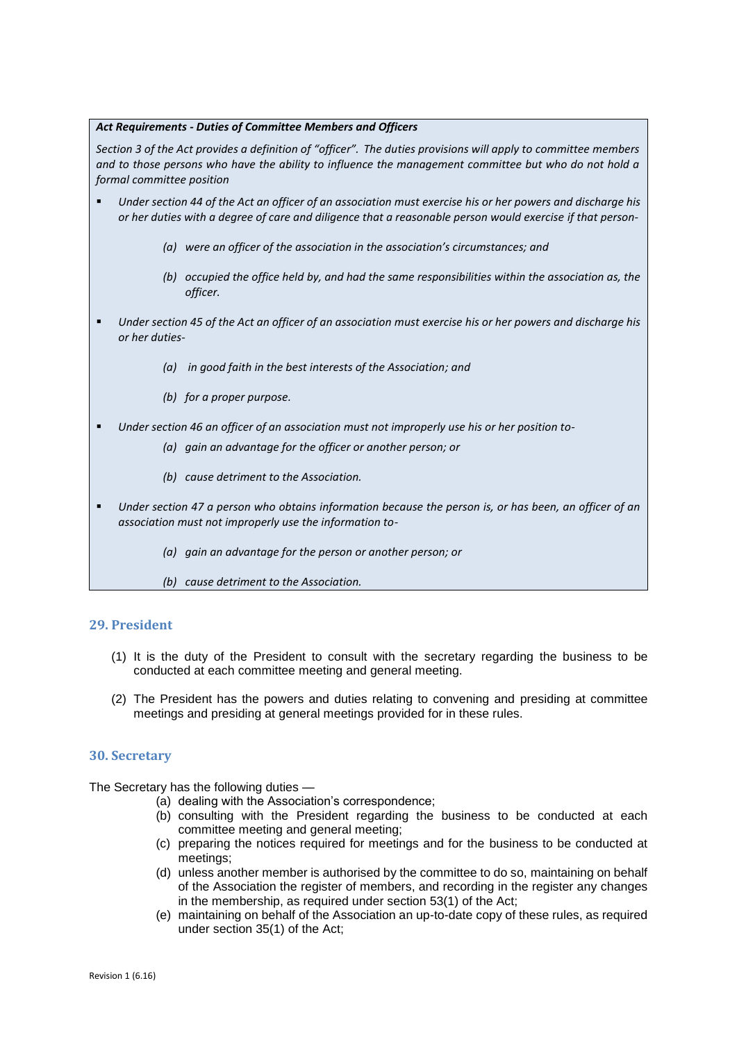#### *Act Requirements - Duties of Committee Members and Officers*

*Section 3 of the Act provides a definition of "officer". The duties provisions will apply to committee members and to those persons who have the ability to influence the management committee but who do not hold a formal committee position*

- *Under section 44 of the Act an officer of an association must exercise his or her powers and discharge his or her duties with a degree of care and diligence that a reasonable person would exercise if that person-*
	- *(a) were an officer of the association in the association's circumstances; and*
	- *(b) occupied the office held by, and had the same responsibilities within the association as, the officer.*
- *Under section 45 of the Act an officer of an association must exercise his or her powers and discharge his or her duties-*
	- *(a) in good faith in the best interests of the Association; and*
	- *(b) for a proper purpose.*
- *Under section 46 an officer of an association must not improperly use his or her position to-*
	- *(a) gain an advantage for the officer or another person; or*
	- *(b) cause detriment to the Association.*
- *Under section 47 a person who obtains information because the person is, or has been, an officer of an association must not improperly use the information to-*
	- *(a) gain an advantage for the person or another person; or*
	- *(b) cause detriment to the Association.*

### **29. President**

- (1) It is the duty of the President to consult with the secretary regarding the business to be conducted at each committee meeting and general meeting.
- (2) The President has the powers and duties relating to convening and presiding at committee meetings and presiding at general meetings provided for in these rules.

### **30. Secretary**

The Secretary has the following duties —

- (a) dealing with the Association's correspondence;
- (b) consulting with the President regarding the business to be conducted at each committee meeting and general meeting;
- (c) preparing the notices required for meetings and for the business to be conducted at meetings;
- (d) unless another member is authorised by the committee to do so, maintaining on behalf of the Association the register of members, and recording in the register any changes in the membership, as required under section 53(1) of the Act;
- (e) maintaining on behalf of the Association an up-to-date copy of these rules, as required under section 35(1) of the Act;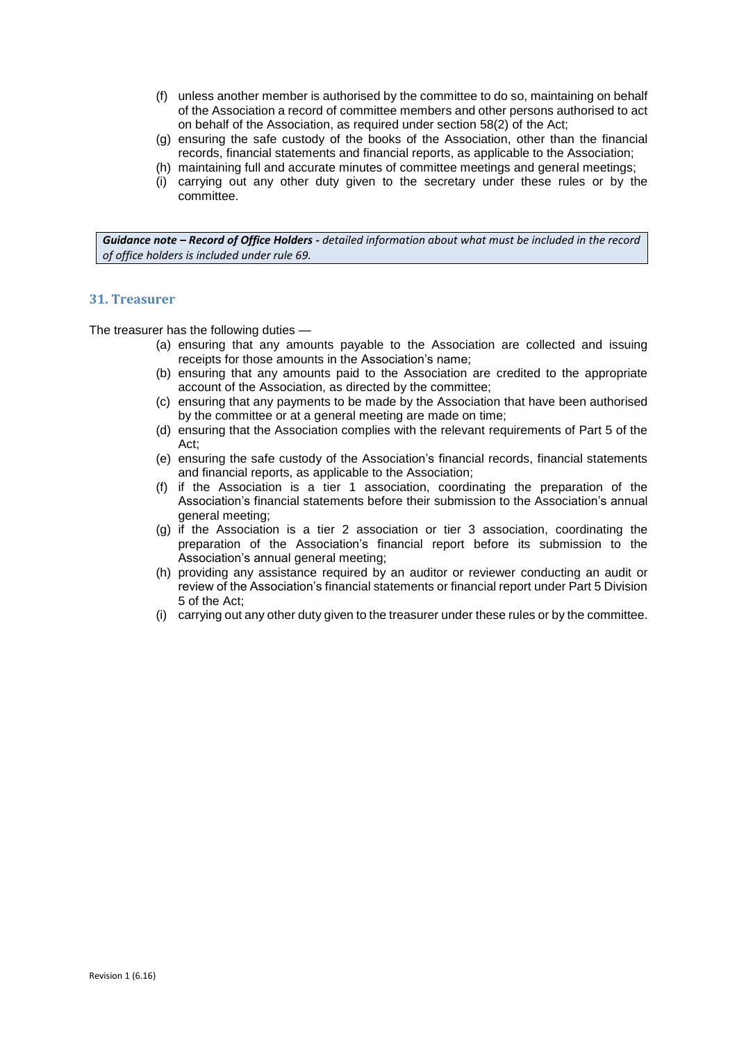- (f) unless another member is authorised by the committee to do so, maintaining on behalf of the Association a record of committee members and other persons authorised to act on behalf of the Association, as required under section 58(2) of the Act;
- (g) ensuring the safe custody of the books of the Association, other than the financial records, financial statements and financial reports, as applicable to the Association;
- (h) maintaining full and accurate minutes of committee meetings and general meetings;
- (i) carrying out any other duty given to the secretary under these rules or by the committee.

*Guidance note – Record of Office Holders* **-** *detailed information about what must be included in the record of office holders is included under rule 69.*

## **31. Treasurer**

The treasurer has the following duties —

- (a) ensuring that any amounts payable to the Association are collected and issuing receipts for those amounts in the Association's name;
- (b) ensuring that any amounts paid to the Association are credited to the appropriate account of the Association, as directed by the committee;
- (c) ensuring that any payments to be made by the Association that have been authorised by the committee or at a general meeting are made on time;
- (d) ensuring that the Association complies with the relevant requirements of Part 5 of the Act;
- (e) ensuring the safe custody of the Association's financial records, financial statements and financial reports, as applicable to the Association;
- (f) if the Association is a tier 1 association, coordinating the preparation of the Association's financial statements before their submission to the Association's annual general meeting;
- (g) if the Association is a tier 2 association or tier 3 association, coordinating the preparation of the Association's financial report before its submission to the Association's annual general meeting;
- (h) providing any assistance required by an auditor or reviewer conducting an audit or review of the Association's financial statements or financial report under Part 5 Division 5 of the Act;
- (i) carrying out any other duty given to the treasurer under these rules or by the committee.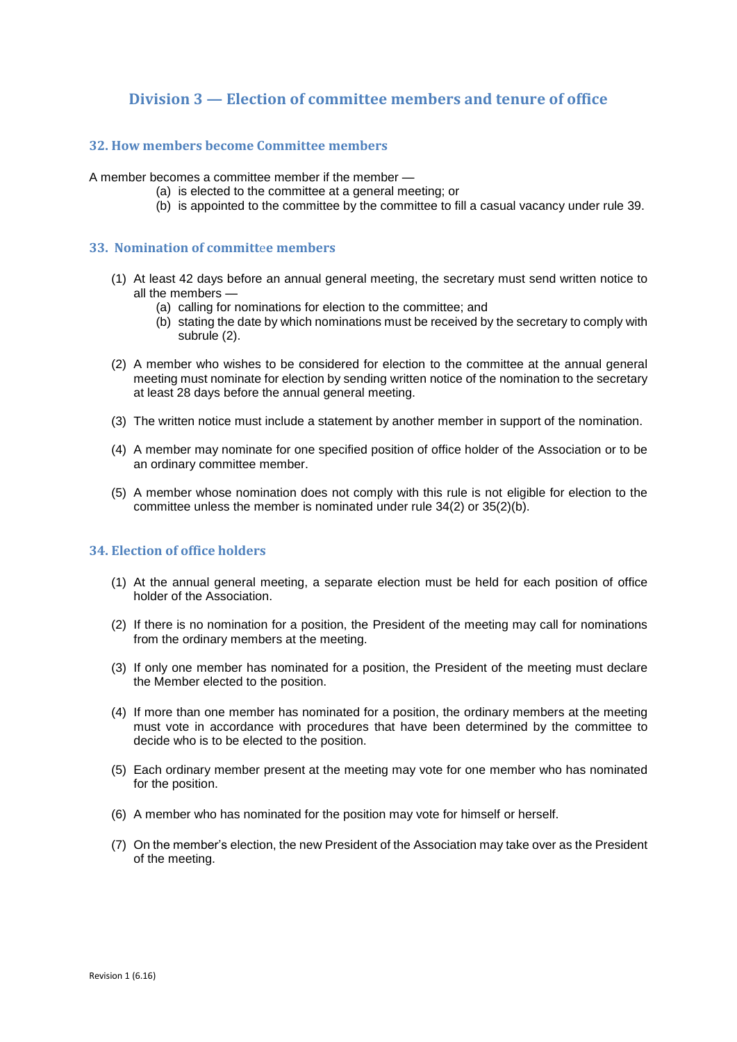# **Division 3 — Election of committee members and tenure of office**

## **32. How members become Committee members**

A member becomes a committee member if the member —

- (a) is elected to the committee at a general meeting; or
	- (b) is appointed to the committee by the committee to fill a casual vacancy under rule 39.

### **33. Nomination of committ**e**e members**

- (1) At least 42 days before an annual general meeting, the secretary must send written notice to all the members —
	- (a) calling for nominations for election to the committee; and
	- (b) stating the date by which nominations must be received by the secretary to comply with subrule (2).
- (2) A member who wishes to be considered for election to the committee at the annual general meeting must nominate for election by sending written notice of the nomination to the secretary at least 28 days before the annual general meeting.
- (3) The written notice must include a statement by another member in support of the nomination.
- (4) A member may nominate for one specified position of office holder of the Association or to be an ordinary committee member.
- (5) A member whose nomination does not comply with this rule is not eligible for election to the committee unless the member is nominated under rule 34(2) or 35(2)(b).

## **34. Election of office holders**

- (1) At the annual general meeting, a separate election must be held for each position of office holder of the Association.
- (2) If there is no nomination for a position, the President of the meeting may call for nominations from the ordinary members at the meeting.
- (3) If only one member has nominated for a position, the President of the meeting must declare the Member elected to the position.
- (4) If more than one member has nominated for a position, the ordinary members at the meeting must vote in accordance with procedures that have been determined by the committee to decide who is to be elected to the position.
- (5) Each ordinary member present at the meeting may vote for one member who has nominated for the position.
- (6) A member who has nominated for the position may vote for himself or herself.
- (7) On the member's election, the new President of the Association may take over as the President of the meeting.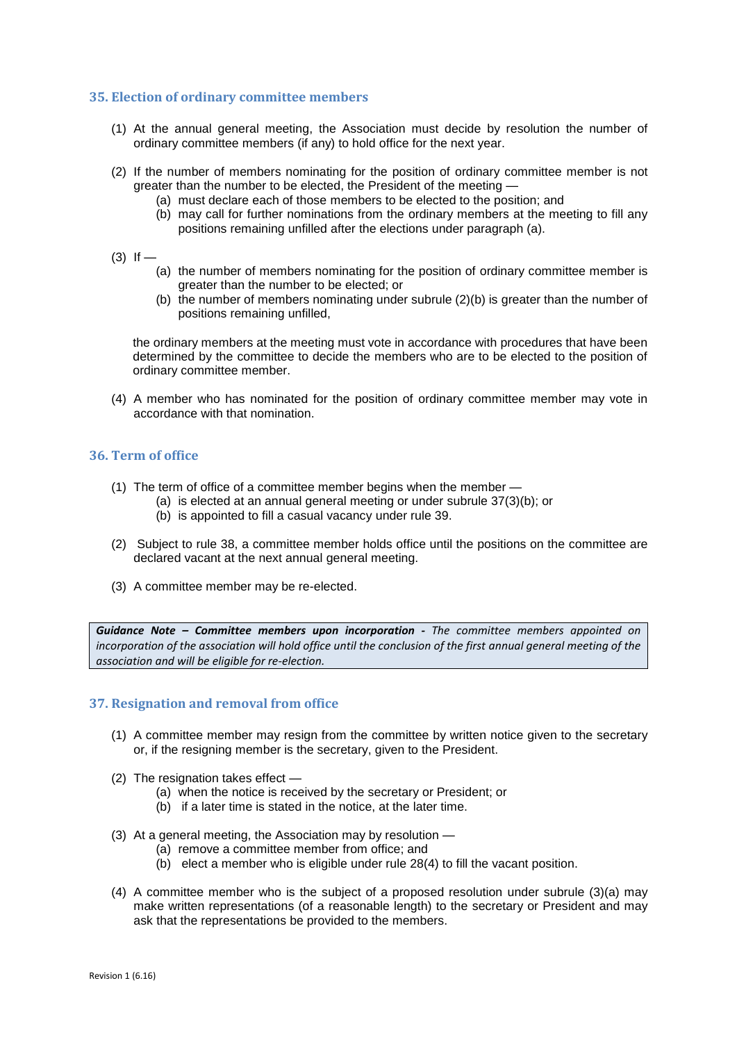## **35. Election of ordinary committee members**

- (1) At the annual general meeting, the Association must decide by resolution the number of ordinary committee members (if any) to hold office for the next year.
- (2) If the number of members nominating for the position of ordinary committee member is not greater than the number to be elected, the President of the meeting —
	- (a) must declare each of those members to be elected to the position; and
	- (b) may call for further nominations from the ordinary members at the meeting to fill any positions remaining unfilled after the elections under paragraph (a).
- $(3)$  If
	- (a) the number of members nominating for the position of ordinary committee member is greater than the number to be elected; or
	- (b) the number of members nominating under subrule (2)(b) is greater than the number of positions remaining unfilled,

the ordinary members at the meeting must vote in accordance with procedures that have been determined by the committee to decide the members who are to be elected to the position of ordinary committee member.

(4) A member who has nominated for the position of ordinary committee member may vote in accordance with that nomination.

## **36. Term of office**

- (1) The term of office of a committee member begins when the member
	- (a) is elected at an annual general meeting or under subrule 37(3)(b); or
	- (b) is appointed to fill a casual vacancy under rule 39.
- (2) Subject to rule 38, a committee member holds office until the positions on the committee are declared vacant at the next annual general meeting.
- (3) A committee member may be re-elected.

*Guidance Note – Committee members upon incorporation - The committee members appointed on incorporation of the association will hold office until the conclusion of the first annual general meeting of the association and will be eligible for re-election.*

### **37. Resignation and removal from office**

- (1) A committee member may resign from the committee by written notice given to the secretary or, if the resigning member is the secretary, given to the President.
- (2) The resignation takes effect
	- (a) when the notice is received by the secretary or President; or
	- (b) if a later time is stated in the notice, at the later time.
- (3) At a general meeting, the Association may by resolution
	- (a) remove a committee member from office; and
	- $(b)$  elect a member who is eligible under rule 28(4) to fill the vacant position.
- (4) A committee member who is the subject of a proposed resolution under subrule (3)(a) may make written representations (of a reasonable length) to the secretary or President and may ask that the representations be provided to the members.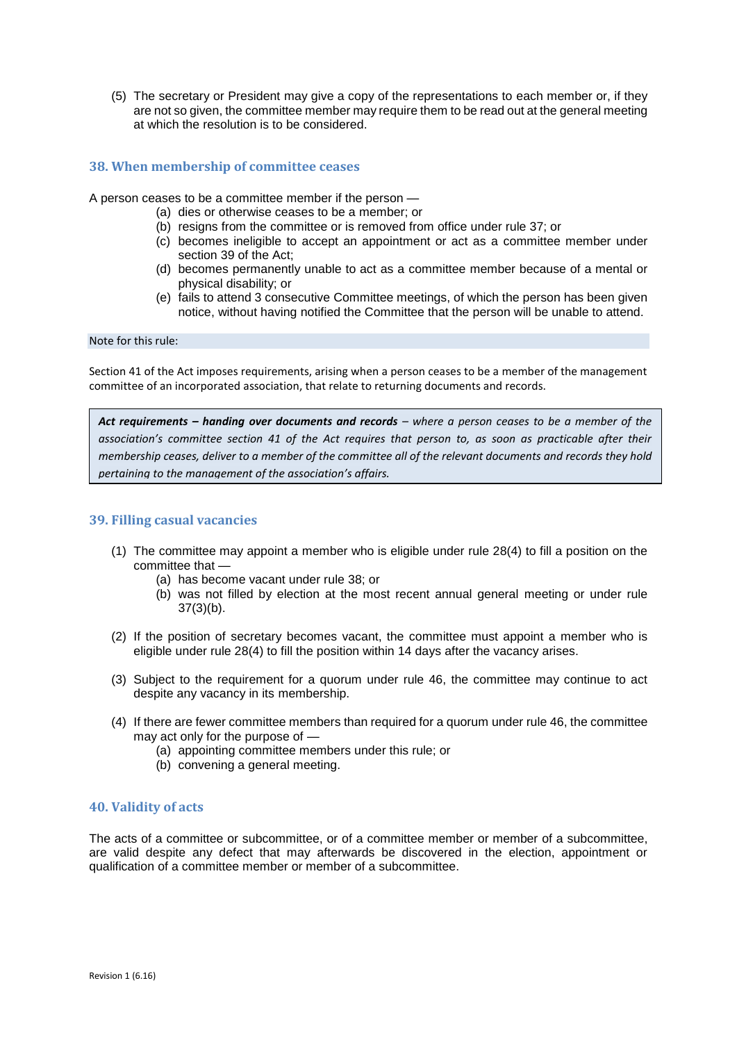(5) The secretary or President may give a copy of the representations to each member or, if they are not so given, the committee member may require them to be read out at the general meeting at which the resolution is to be considered.

## **38. When membership of committee ceases**

A person ceases to be a committee member if the person —

- (a) dies or otherwise ceases to be a member; or
- (b) resigns from the committee or is removed from office under rule 37; or
- (c) becomes ineligible to accept an appointment or act as a committee member under section 39 of the Act;
- (d) becomes permanently unable to act as a committee member because of a mental or physical disability; or
- (e) fails to attend 3 consecutive Committee meetings, of which the person has been given notice, without having notified the Committee that the person will be unable to attend.

Note for this rule:

Section 41 of the Act imposes requirements, arising when a person ceases to be a member of the management committee of an incorporated association, that relate to returning documents and records.

*Act requirements – handing over documents and records – where a person ceases to be a member of the association's committee section 41 of the Act requires that person to, as soon as practicable after their membership ceases, deliver to a member of the committee all of the relevant documents and records they hold pertaining to the management of the association's affairs.*

### **39. Filling casual vacancies**

- (1) The committee may appoint a member who is eligible under rule 28(4) to fill a position on the committee that —
	- (a) has become vacant under rule 38; or
	- (b) was not filled by election at the most recent annual general meeting or under rule 37(3)(b).
- (2) If the position of secretary becomes vacant, the committee must appoint a member who is eligible under rule 28(4) to fill the position within 14 days after the vacancy arises.
- (3) Subject to the requirement for a quorum under rule 46, the committee may continue to act despite any vacancy in its membership.
- (4) If there are fewer committee members than required for a quorum under rule 46, the committee may act only for the purpose of —
	- (a) appointing committee members under this rule; or
	- (b) convening a general meeting.

### **40. Validity of acts**

The acts of a committee or subcommittee, or of a committee member or member of a subcommittee, are valid despite any defect that may afterwards be discovered in the election, appointment or qualification of a committee member or member of a subcommittee.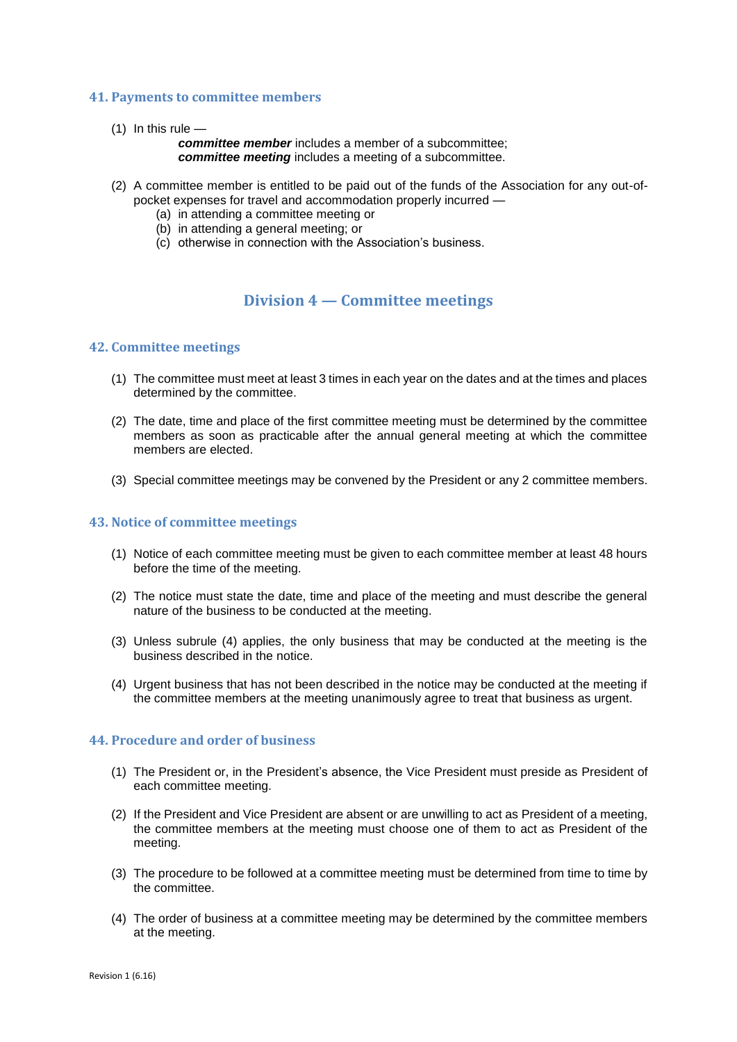## **41. Payments to committee members**

 $(1)$  In this rule —

*committee member* includes a member of a subcommittee; *committee meeting* includes a meeting of a subcommittee.

- (2) A committee member is entitled to be paid out of the funds of the Association for any out-ofpocket expenses for travel and accommodation properly incurred —
	- (a) in attending a committee meeting or
	- (b) in attending a general meeting; or
	- (c) otherwise in connection with the Association's business.

# **Division 4 — Committee meetings**

#### **42. Committee meetings**

- (1) The committee must meet at least 3 times in each year on the dates and at the times and places determined by the committee.
- (2) The date, time and place of the first committee meeting must be determined by the committee members as soon as practicable after the annual general meeting at which the committee members are elected.
- (3) Special committee meetings may be convened by the President or any 2 committee members.

## **43. Notice of committee meetings**

- (1) Notice of each committee meeting must be given to each committee member at least 48 hours before the time of the meeting.
- (2) The notice must state the date, time and place of the meeting and must describe the general nature of the business to be conducted at the meeting.
- (3) Unless subrule (4) applies, the only business that may be conducted at the meeting is the business described in the notice.
- (4) Urgent business that has not been described in the notice may be conducted at the meeting if the committee members at the meeting unanimously agree to treat that business as urgent.

### **44. Procedure and order of business**

- (1) The President or, in the President's absence, the Vice President must preside as President of each committee meeting.
- (2) If the President and Vice President are absent or are unwilling to act as President of a meeting, the committee members at the meeting must choose one of them to act as President of the meeting.
- (3) The procedure to be followed at a committee meeting must be determined from time to time by the committee.
- (4) The order of business at a committee meeting may be determined by the committee members at the meeting.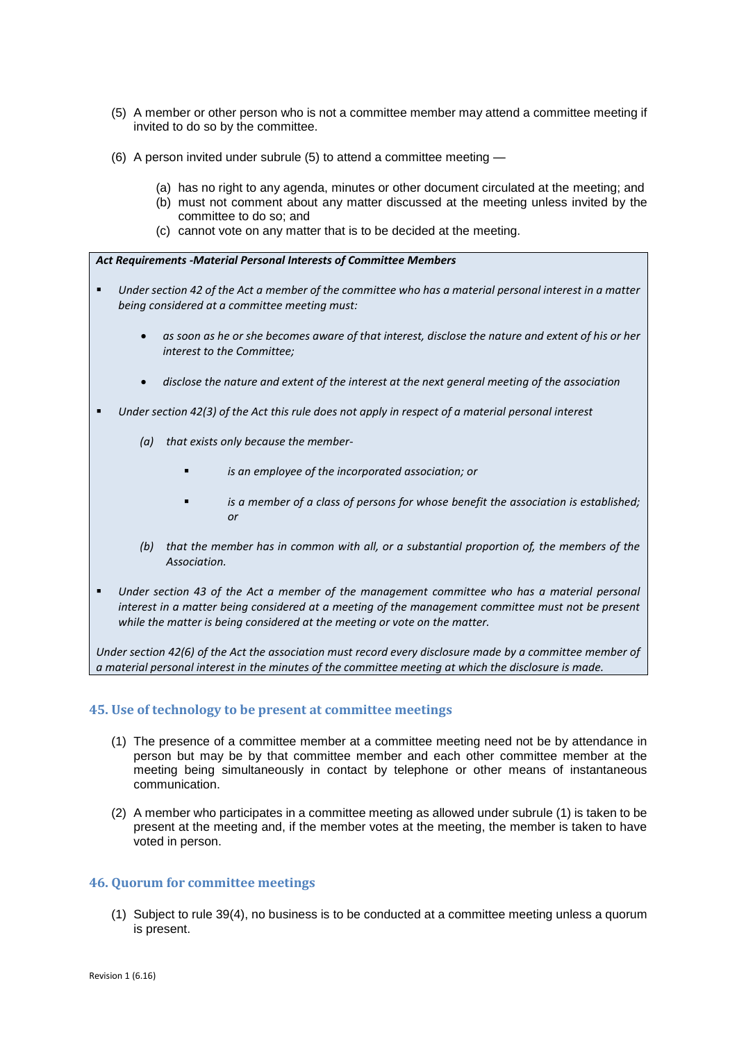- (5) A member or other person who is not a committee member may attend a committee meeting if invited to do so by the committee.
- (6) A person invited under subrule (5) to attend a committee meeting
	- (a) has no right to any agenda, minutes or other document circulated at the meeting; and
	- (b) must not comment about any matter discussed at the meeting unless invited by the
		- committee to do so; and
	- (c) cannot vote on any matter that is to be decided at the meeting.

#### *Act Requirements -Material Personal Interests of Committee Members*

- *Under section 42 of the Act a member of the committee who has a material personal interest in a matter being considered at a committee meeting must:* 
	- *as soon as he or she becomes aware of that interest, disclose the nature and extent of his or her interest to the Committee;*
	- *disclose the nature and extent of the interest at the next general meeting of the association*
- *Under section 42(3) of the Act this rule does not apply in respect of a material personal interest* 
	- *(a) that exists only because the member*
		- *is an employee of the incorporated association; or*
		- *is a member of a class of persons for whose benefit the association is established; or*
	- *(b) that the member has in common with all, or a substantial proportion of, the members of the Association.*
- *Under section 43 of the Act a member of the management committee who has a material personal interest in a matter being considered at a meeting of the management committee must not be present while the matter is being considered at the meeting or vote on the matter.*

*Under section 42(6) of the Act the association must record every disclosure made by a committee member of a material personal interest in the minutes of the committee meeting at which the disclosure is made.*

## **45. Use of technology to be present at committee meetings**

- (1) The presence of a committee member at a committee meeting need not be by attendance in person but may be by that committee member and each other committee member at the meeting being simultaneously in contact by telephone or other means of instantaneous communication.
- (2) A member who participates in a committee meeting as allowed under subrule (1) is taken to be present at the meeting and, if the member votes at the meeting, the member is taken to have voted in person.

## **46. Quorum for committee meetings**

(1) Subject to rule 39(4), no business is to be conducted at a committee meeting unless a quorum is present.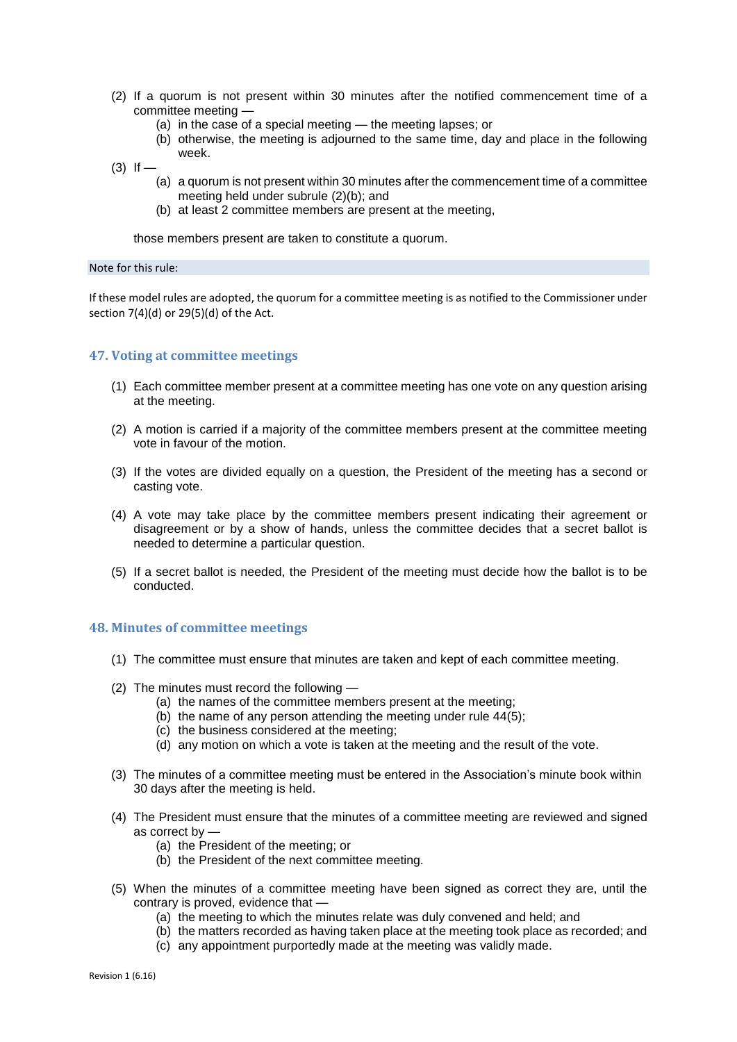- (2) If a quorum is not present within 30 minutes after the notified commencement time of a committee meeting —
	- (a) in the case of a special meeting the meeting lapses; or
	- (b) otherwise, the meeting is adjourned to the same time, day and place in the following week.
- $(3)$  If
	- (a) a quorum is not present within 30 minutes after the commencement time of a committee meeting held under subrule (2)(b); and
	- (b) at least 2 committee members are present at the meeting,

those members present are taken to constitute a quorum.

#### Note for this rule:

If these model rules are adopted, the quorum for a committee meeting is as notified to the Commissioner under section 7(4)(d) or 29(5)(d) of the Act.

#### **47. Voting at committee meetings**

- (1) Each committee member present at a committee meeting has one vote on any question arising at the meeting.
- (2) A motion is carried if a majority of the committee members present at the committee meeting vote in favour of the motion.
- (3) If the votes are divided equally on a question, the President of the meeting has a second or casting vote.
- (4) A vote may take place by the committee members present indicating their agreement or disagreement or by a show of hands, unless the committee decides that a secret ballot is needed to determine a particular question.
- (5) If a secret ballot is needed, the President of the meeting must decide how the ballot is to be conducted.

#### **48. Minutes of committee meetings**

- (1) The committee must ensure that minutes are taken and kept of each committee meeting.
- (2) The minutes must record the following
	- (a) the names of the committee members present at the meeting;
	- (b) the name of any person attending the meeting under rule 44(5);
	- (c) the business considered at the meeting;
	- (d) any motion on which a vote is taken at the meeting and the result of the vote.
- (3) The minutes of a committee meeting must be entered in the Association's minute book within 30 days after the meeting is held.
- (4) The President must ensure that the minutes of a committee meeting are reviewed and signed as correct by —
	- (a) the President of the meeting; or
	- (b) the President of the next committee meeting.
- (5) When the minutes of a committee meeting have been signed as correct they are, until the contrary is proved, evidence that —
	- (a) the meeting to which the minutes relate was duly convened and held; and
	- (b) the matters recorded as having taken place at the meeting took place as recorded; and
	- (c) any appointment purportedly made at the meeting was validly made.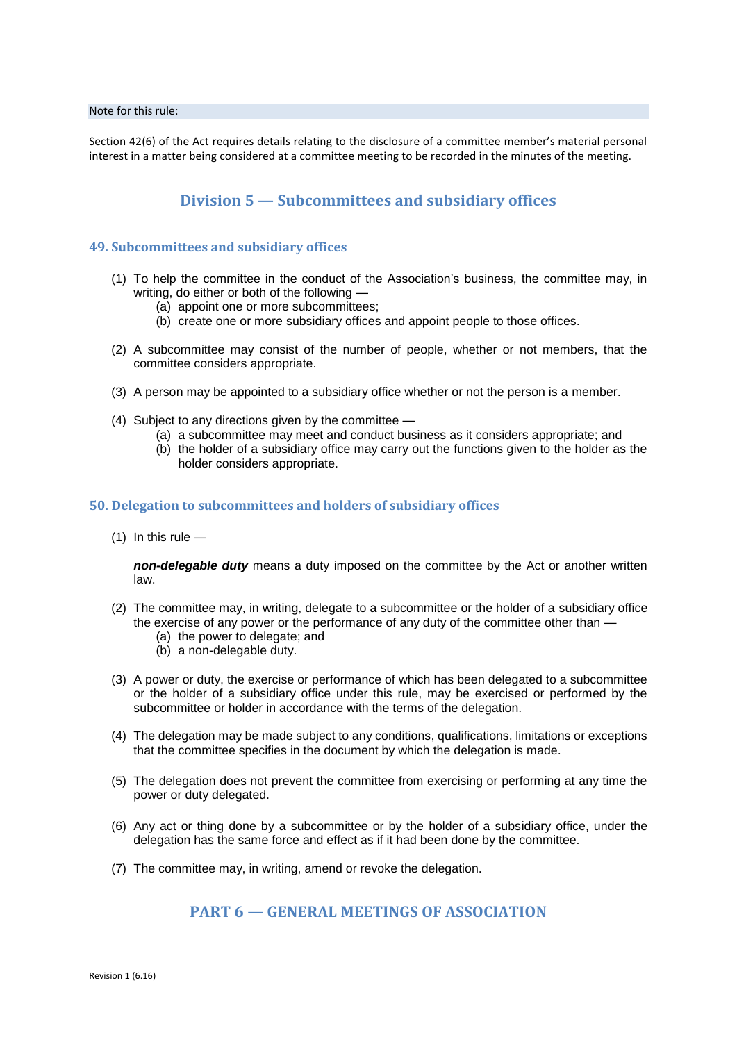#### Note for this rule:

Section 42(6) of the Act requires details relating to the disclosure of a committee member's material personal interest in a matter being considered at a committee meeting to be recorded in the minutes of the meeting.

## **Division 5 — Subcommittees and subsidiary offices**

### **49. Subcommittees and subs**i**diary offices**

- (1) To help the committee in the conduct of the Association's business, the committee may, in writing, do either or both of the following —
	- (a) appoint one or more subcommittees;
	- (b) create one or more subsidiary offices and appoint people to those offices.
- (2) A subcommittee may consist of the number of people, whether or not members, that the committee considers appropriate.
- (3) A person may be appointed to a subsidiary office whether or not the person is a member.
- (4) Subject to any directions given by the committee
	- (a) a subcommittee may meet and conduct business as it considers appropriate; and
	- (b) the holder of a subsidiary office may carry out the functions given to the holder as the holder considers appropriate.

### **50. Delegation to subcommittees and holders of subsidiary offices**

 $(1)$  In this rule —

*non-delegable duty* means a duty imposed on the committee by the Act or another written law.

- (2) The committee may, in writing, delegate to a subcommittee or the holder of a subsidiary office the exercise of any power or the performance of any duty of the committee other than -
	- (a) the power to delegate; and
	- (b) a non-delegable duty.
- (3) A power or duty, the exercise or performance of which has been delegated to a subcommittee or the holder of a subsidiary office under this rule, may be exercised or performed by the subcommittee or holder in accordance with the terms of the delegation.
- (4) The delegation may be made subject to any conditions, qualifications, limitations or exceptions that the committee specifies in the document by which the delegation is made.
- (5) The delegation does not prevent the committee from exercising or performing at any time the power or duty delegated.
- (6) Any act or thing done by a subcommittee or by the holder of a subsidiary office, under the delegation has the same force and effect as if it had been done by the committee.
- (7) The committee may, in writing, amend or revoke the delegation.

## **PART 6 — GENERAL MEETINGS OF ASSOCIATION**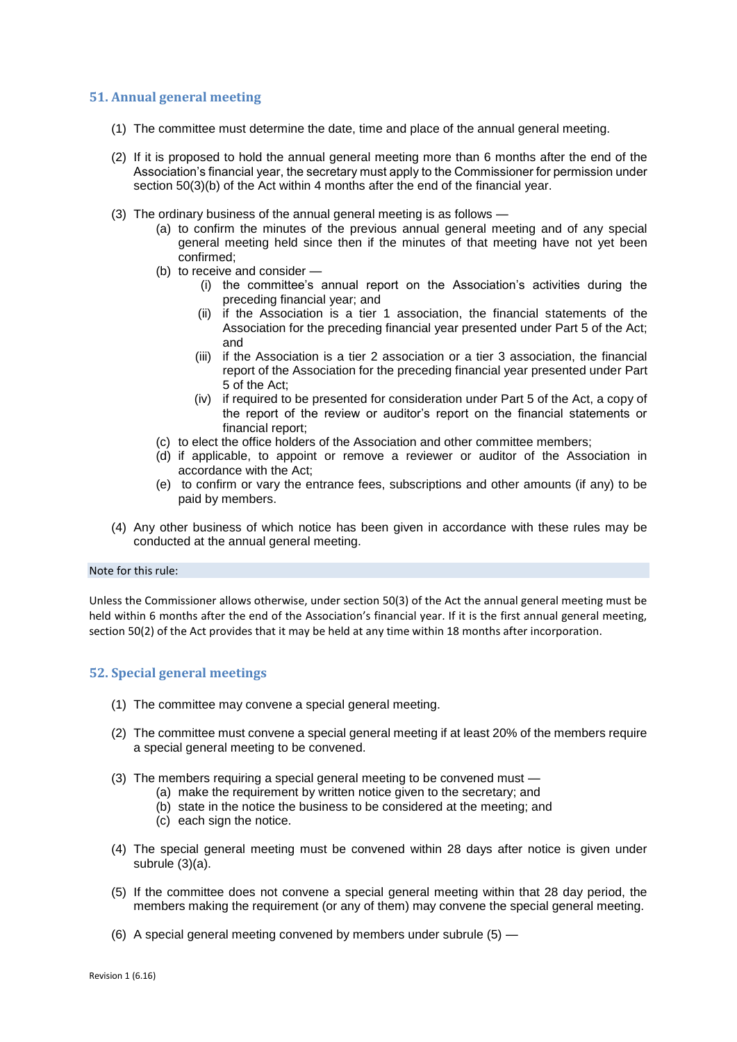## **51. Annual general meeting**

- (1) The committee must determine the date, time and place of the annual general meeting.
- (2) If it is proposed to hold the annual general meeting more than 6 months after the end of the Association's financial year, the secretary must apply to the Commissioner for permission under section 50(3)(b) of the Act within 4 months after the end of the financial year.
- (3) The ordinary business of the annual general meeting is as follows
	- (a) to confirm the minutes of the previous annual general meeting and of any special general meeting held since then if the minutes of that meeting have not yet been confirmed;
	- (b) to receive and consider
		- (i) the committee's annual report on the Association's activities during the preceding financial year; and
		- (ii) if the Association is a tier 1 association, the financial statements of the Association for the preceding financial year presented under Part 5 of the Act; and
		- (iii) if the Association is a tier 2 association or a tier 3 association, the financial report of the Association for the preceding financial year presented under Part 5 of the Act;
		- (iv) if required to be presented for consideration under Part 5 of the Act, a copy of the report of the review or auditor's report on the financial statements or financial report;
	- (c) to elect the office holders of the Association and other committee members;
	- (d) if applicable, to appoint or remove a reviewer or auditor of the Association in accordance with the Act;
	- (e) to confirm or vary the entrance fees, subscriptions and other amounts (if any) to be paid by members.
- (4) Any other business of which notice has been given in accordance with these rules may be conducted at the annual general meeting.

#### Note for this rule:

Unless the Commissioner allows otherwise, under section 50(3) of the Act the annual general meeting must be held within 6 months after the end of the Association's financial year. If it is the first annual general meeting, section 50(2) of the Act provides that it may be held at any time within 18 months after incorporation.

### **52. Special general meetings**

- (1) The committee may convene a special general meeting.
- (2) The committee must convene a special general meeting if at least 20% of the members require a special general meeting to be convened.
- (3) The members requiring a special general meeting to be convened must
	- (a) make the requirement by written notice given to the secretary; and
		- (b) state in the notice the business to be considered at the meeting; and
	- (c) each sign the notice.
- (4) The special general meeting must be convened within 28 days after notice is given under subrule (3)(a).
- (5) If the committee does not convene a special general meeting within that 28 day period, the members making the requirement (or any of them) may convene the special general meeting.
- (6) A special general meeting convened by members under subrule (5) —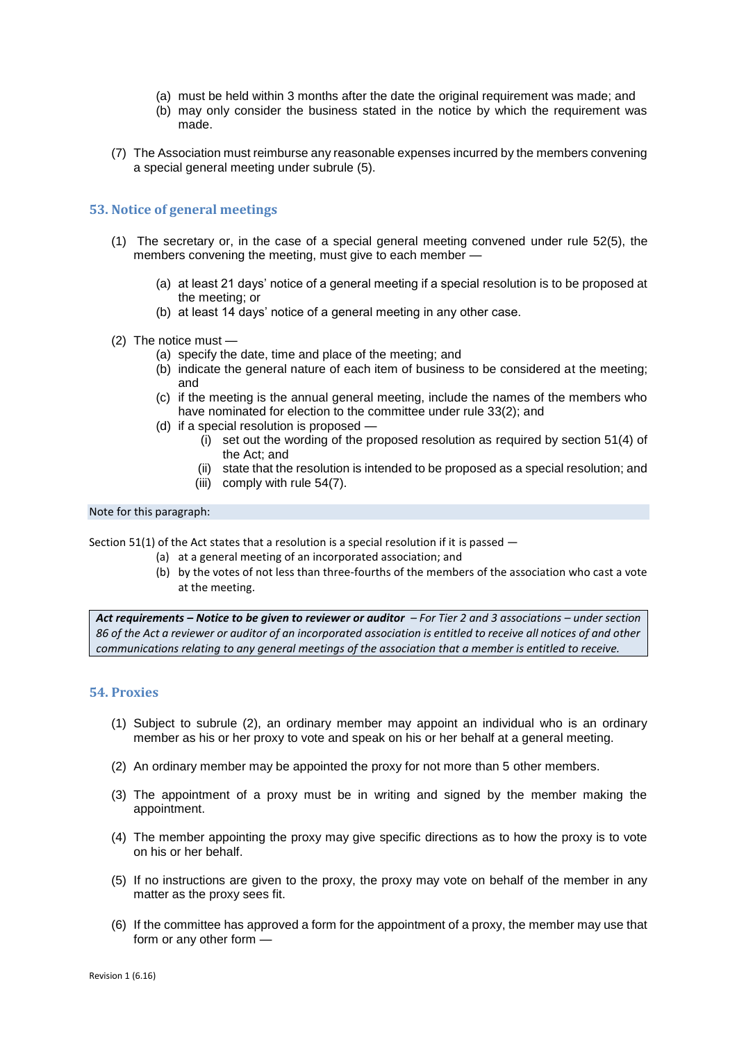- (a) must be held within 3 months after the date the original requirement was made; and
- (b) may only consider the business stated in the notice by which the requirement was made.
- (7) The Association must reimburse any reasonable expenses incurred by the members convening a special general meeting under subrule (5).

## **53. Notice of general meetings**

- (1) The secretary or, in the case of a special general meeting convened under rule 52(5), the members convening the meeting, must give to each member -
	- (a) at least 21 days' notice of a general meeting if a special resolution is to be proposed at the meeting; or
	- (b) at least 14 days' notice of a general meeting in any other case.
- (2) The notice must
	- (a) specify the date, time and place of the meeting; and
	- (b) indicate the general nature of each item of business to be considered at the meeting; and
	- (c) if the meeting is the annual general meeting, include the names of the members who have nominated for election to the committee under rule 33(2); and
	- (d) if a special resolution is proposed
		- (i) set out the wording of the proposed resolution as required by section 51(4) of the Act; and
		- (ii) state that the resolution is intended to be proposed as a special resolution; and
		- (iii) comply with rule 54(7).

### Note for this paragraph:

Section 51(1) of the Act states that a resolution is a special resolution if it is passed  $-$ 

- (a) at a general meeting of an incorporated association; and
- (b) by the votes of not less than three-fourths of the members of the association who cast a vote at the meeting.

*Act requirements – Notice to be given to reviewer or auditor – For Tier 2 and 3 associations – under section 86 of the Act a reviewer or auditor of an incorporated association is entitled to receive all notices of and other communications relating to any general meetings of the association that a member is entitled to receive.*

### **54. Proxies**

- (1) Subject to subrule (2), an ordinary member may appoint an individual who is an ordinary member as his or her proxy to vote and speak on his or her behalf at a general meeting.
- (2) An ordinary member may be appointed the proxy for not more than 5 other members.
- (3) The appointment of a proxy must be in writing and signed by the member making the appointment.
- (4) The member appointing the proxy may give specific directions as to how the proxy is to vote on his or her behalf.
- (5) If no instructions are given to the proxy, the proxy may vote on behalf of the member in any matter as the proxy sees fit.
- (6) If the committee has approved a form for the appointment of a proxy, the member may use that form or any other form —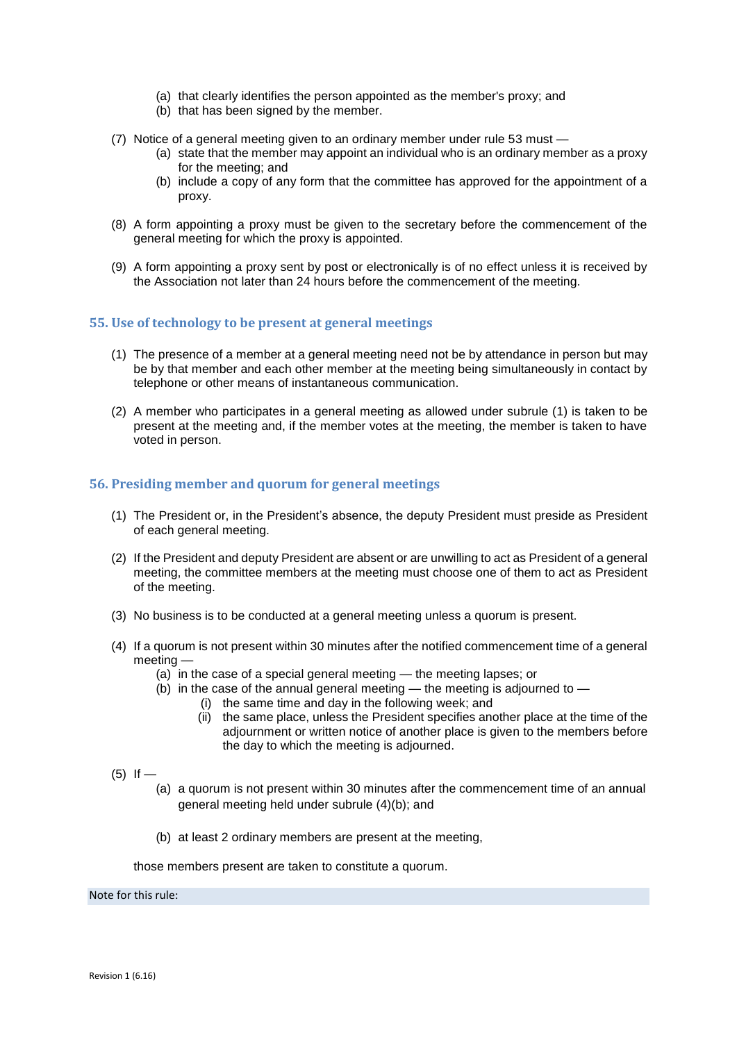- (a) that clearly identifies the person appointed as the member's proxy; and
- (b) that has been signed by the member.
- (7) Notice of a general meeting given to an ordinary member under rule 53 must
	- (a) state that the member may appoint an individual who is an ordinary member as a proxy for the meeting; and
	- (b) include a copy of any form that the committee has approved for the appointment of a proxy.
- (8) A form appointing a proxy must be given to the secretary before the commencement of the general meeting for which the proxy is appointed.
- (9) A form appointing a proxy sent by post or electronically is of no effect unless it is received by the Association not later than 24 hours before the commencement of the meeting.

### **55. Use of technology to be present at general meetings**

- (1) The presence of a member at a general meeting need not be by attendance in person but may be by that member and each other member at the meeting being simultaneously in contact by telephone or other means of instantaneous communication.
- (2) A member who participates in a general meeting as allowed under subrule (1) is taken to be present at the meeting and, if the member votes at the meeting, the member is taken to have voted in person.

## **56. Presiding member and quorum for general meetings**

- (1) The President or, in the President's absence, the deputy President must preside as President of each general meeting.
- (2) If the President and deputy President are absent or are unwilling to act as President of a general meeting, the committee members at the meeting must choose one of them to act as President of the meeting.
- (3) No business is to be conducted at a general meeting unless a quorum is present.
- (4) If a quorum is not present within 30 minutes after the notified commencement time of a general meeting —
	- (a) in the case of a special general meeting the meeting lapses; or
	- (b) in the case of the annual general meeting  $-$  the meeting is adjourned to  $-$ 
		- (i) the same time and day in the following week; and
			- (ii) the same place, unless the President specifies another place at the time of the adjournment or written notice of another place is given to the members before the day to which the meeting is adjourned.
- $(5)$  If
	- (a) a quorum is not present within 30 minutes after the commencement time of an annual general meeting held under subrule (4)(b); and
	- (b) at least 2 ordinary members are present at the meeting,

those members present are taken to constitute a quorum.

Note for this rule: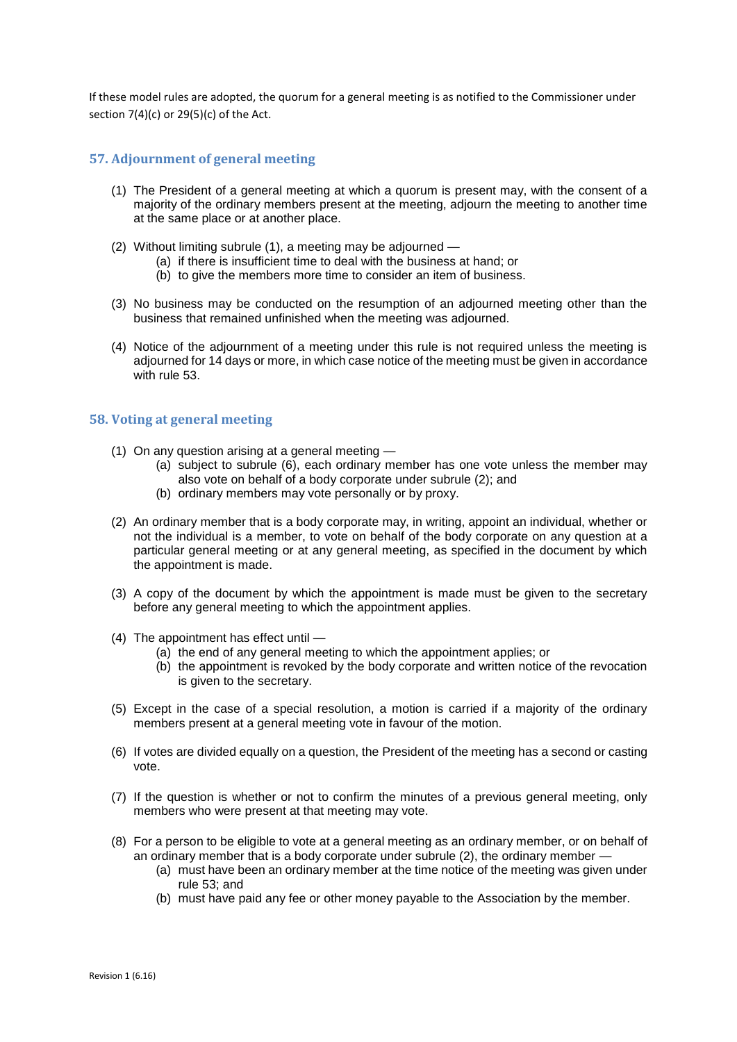If these model rules are adopted, the quorum for a general meeting is as notified to the Commissioner under section  $7(4)(c)$  or  $29(5)(c)$  of the Act.

## **57. Adjournment of general meeting**

- (1) The President of a general meeting at which a quorum is present may, with the consent of a majority of the ordinary members present at the meeting, adjourn the meeting to another time at the same place or at another place.
- (2) Without limiting subrule (1), a meeting may be adjourned -
	- (a) if there is insufficient time to deal with the business at hand; or
	- (b) to give the members more time to consider an item of business.
- (3) No business may be conducted on the resumption of an adjourned meeting other than the business that remained unfinished when the meeting was adjourned.
- (4) Notice of the adjournment of a meeting under this rule is not required unless the meeting is adjourned for 14 days or more, in which case notice of the meeting must be given in accordance with rule 53.

## **58. Voting at general meeting**

- (1) On any question arising at a general meeting
	- (a) subject to subrule (6), each ordinary member has one vote unless the member may also vote on behalf of a body corporate under subrule (2); and
	- (b) ordinary members may vote personally or by proxy.
- (2) An ordinary member that is a body corporate may, in writing, appoint an individual, whether or not the individual is a member, to vote on behalf of the body corporate on any question at a particular general meeting or at any general meeting, as specified in the document by which the appointment is made.
- (3) A copy of the document by which the appointment is made must be given to the secretary before any general meeting to which the appointment applies.
- (4) The appointment has effect until
	- (a) the end of any general meeting to which the appointment applies; or
	- (b) the appointment is revoked by the body corporate and written notice of the revocation is given to the secretary.
- (5) Except in the case of a special resolution, a motion is carried if a majority of the ordinary members present at a general meeting vote in favour of the motion.
- (6) If votes are divided equally on a question, the President of the meeting has a second or casting vote.
- (7) If the question is whether or not to confirm the minutes of a previous general meeting, only members who were present at that meeting may vote.
- (8) For a person to be eligible to vote at a general meeting as an ordinary member, or on behalf of an ordinary member that is a body corporate under subrule (2), the ordinary member —
	- (a) must have been an ordinary member at the time notice of the meeting was given under rule 53; and
	- (b) must have paid any fee or other money payable to the Association by the member.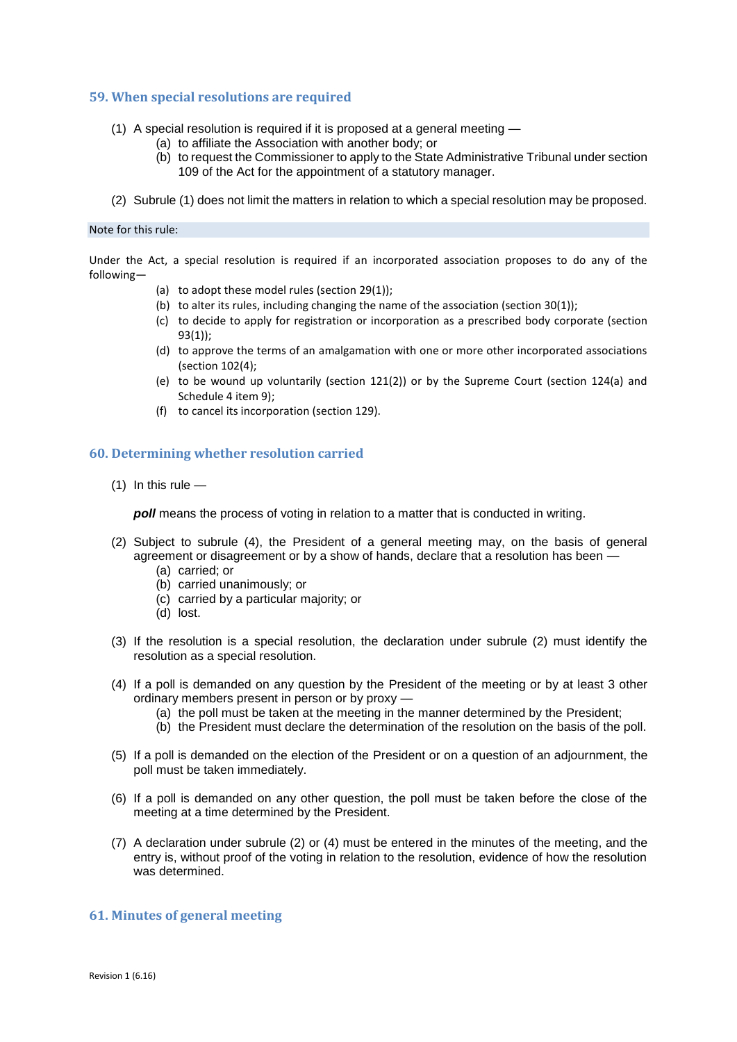## **59. When special resolutions are required**

- (1) A special resolution is required if it is proposed at a general meeting
	- (a) to affiliate the Association with another body; or
		- (b) to request the Commissioner to apply to the State Administrative Tribunal under section 109 of the Act for the appointment of a statutory manager.
- (2) Subrule (1) does not limit the matters in relation to which a special resolution may be proposed.

#### Note for this rule:

Under the Act, a special resolution is required if an incorporated association proposes to do any of the following—

- (a) to adopt these model rules (section 29(1));
- (b) to alter its rules, including changing the name of the association (section 30(1));
- (c) to decide to apply for registration or incorporation as a prescribed body corporate (section 93(1));
- (d) to approve the terms of an amalgamation with one or more other incorporated associations (section 102(4);
- (e) to be wound up voluntarily (section 121(2)) or by the Supreme Court (section 124(a) and Schedule 4 item 9);
- (f) to cancel its incorporation (section 129).

## **60. Determining whether resolution carried**

 $(1)$  In this rule —

*poll* means the process of voting in relation to a matter that is conducted in writing.

- (2) Subject to subrule (4), the President of a general meeting may, on the basis of general agreement or disagreement or by a show of hands, declare that a resolution has been —
	- (a) carried; or
	- (b) carried unanimously; or
	- (c) carried by a particular majority; or
	- (d) lost.
- (3) If the resolution is a special resolution, the declaration under subrule (2) must identify the resolution as a special resolution.
- (4) If a poll is demanded on any question by the President of the meeting or by at least 3 other ordinary members present in person or by proxy —
	- (a) the poll must be taken at the meeting in the manner determined by the President;
	- (b) the President must declare the determination of the resolution on the basis of the poll.
- (5) If a poll is demanded on the election of the President or on a question of an adjournment, the poll must be taken immediately.
- (6) If a poll is demanded on any other question, the poll must be taken before the close of the meeting at a time determined by the President.
- (7) A declaration under subrule (2) or (4) must be entered in the minutes of the meeting, and the entry is, without proof of the voting in relation to the resolution, evidence of how the resolution was determined.

## **61. Minutes of general meeting**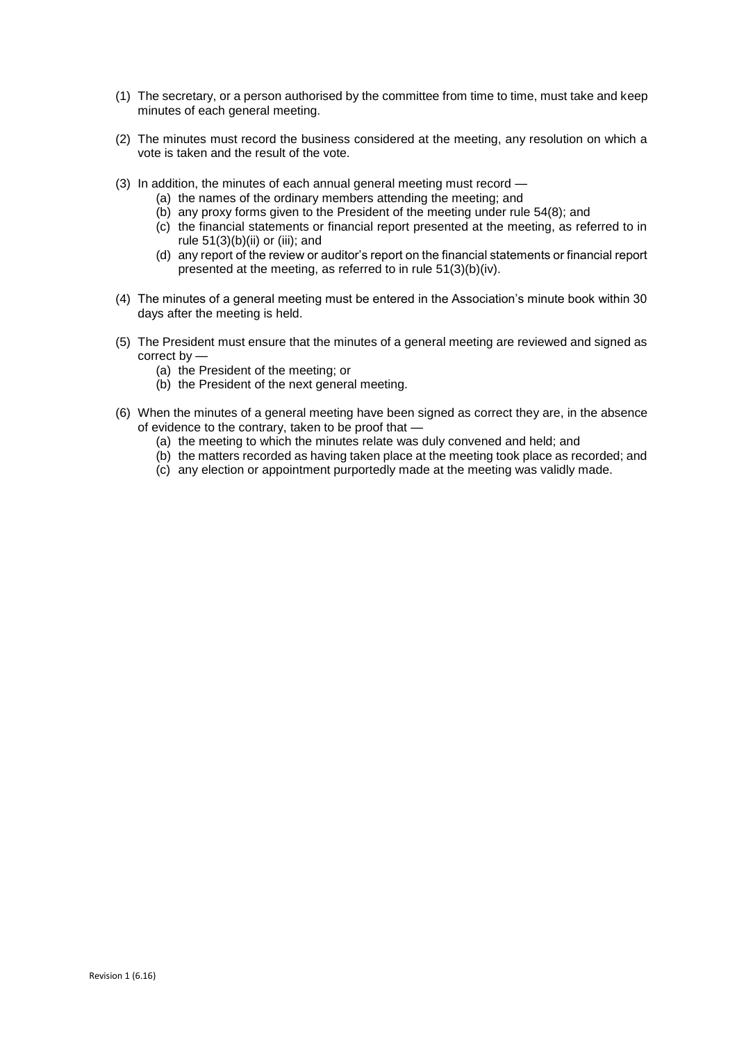- (1) The secretary, or a person authorised by the committee from time to time, must take and keep minutes of each general meeting.
- (2) The minutes must record the business considered at the meeting, any resolution on which a vote is taken and the result of the vote.
- (3) In addition, the minutes of each annual general meeting must record
	- (a) the names of the ordinary members attending the meeting; and
	- (b) any proxy forms given to the President of the meeting under rule 54(8); and
	- (c) the financial statements or financial report presented at the meeting, as referred to in rule  $51(3)(b)(ii)$  or (iii); and
	- (d) any report of the review or auditor's report on the financial statements or financial report presented at the meeting, as referred to in rule 51(3)(b)(iv).
- (4) The minutes of a general meeting must be entered in the Association's minute book within 30 days after the meeting is held.
- (5) The President must ensure that the minutes of a general meeting are reviewed and signed as correct by —
	- (a) the President of the meeting; or
	- (b) the President of the next general meeting.
- (6) When the minutes of a general meeting have been signed as correct they are, in the absence of evidence to the contrary, taken to be proof that —
	- (a) the meeting to which the minutes relate was duly convened and held; and
	- (b) the matters recorded as having taken place at the meeting took place as recorded; and
	- (c) any election or appointment purportedly made at the meeting was validly made.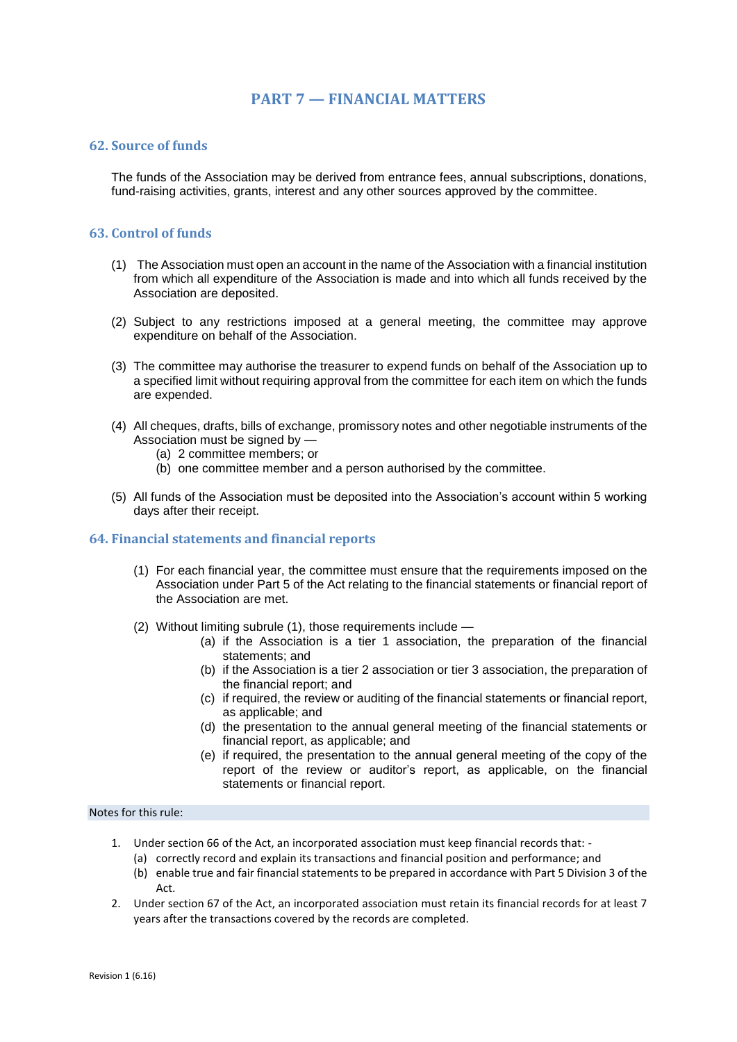## **PART 7 — FINANCIAL MATTERS**

## **62. Source of funds**

The funds of the Association may be derived from entrance fees, annual subscriptions, donations, fund-raising activities, grants, interest and any other sources approved by the committee.

## **63. Control of funds**

- (1) The Association must open an account in the name of the Association with a financial institution from which all expenditure of the Association is made and into which all funds received by the Association are deposited.
- (2) Subject to any restrictions imposed at a general meeting, the committee may approve expenditure on behalf of the Association.
- (3) The committee may authorise the treasurer to expend funds on behalf of the Association up to a specified limit without requiring approval from the committee for each item on which the funds are expended.
- (4) All cheques, drafts, bills of exchange, promissory notes and other negotiable instruments of the Association must be signed by —
	- (a) 2 committee members; or
	- (b) one committee member and a person authorised by the committee.
- (5) All funds of the Association must be deposited into the Association's account within 5 working days after their receipt.

## **64. Financial statements and financial reports**

- (1) For each financial year, the committee must ensure that the requirements imposed on the Association under Part 5 of the Act relating to the financial statements or financial report of the Association are met.
- (2) Without limiting subrule (1), those requirements include
	- (a) if the Association is a tier 1 association, the preparation of the financial statements; and
	- (b) if the Association is a tier 2 association or tier 3 association, the preparation of the financial report; and
	- (c) if required, the review or auditing of the financial statements or financial report, as applicable; and
	- (d) the presentation to the annual general meeting of the financial statements or financial report, as applicable; and
	- (e) if required, the presentation to the annual general meeting of the copy of the report of the review or auditor's report, as applicable, on the financial statements or financial report.

## Notes for this rule:

- 1. Under section 66 of the Act, an incorporated association must keep financial records that:
	- (a) correctly record and explain its transactions and financial position and performance; and
	- (b) enable true and fair financial statements to be prepared in accordance with Part 5 Division 3 of the Act.
- 2. Under section 67 of the Act, an incorporated association must retain its financial records for at least 7 years after the transactions covered by the records are completed.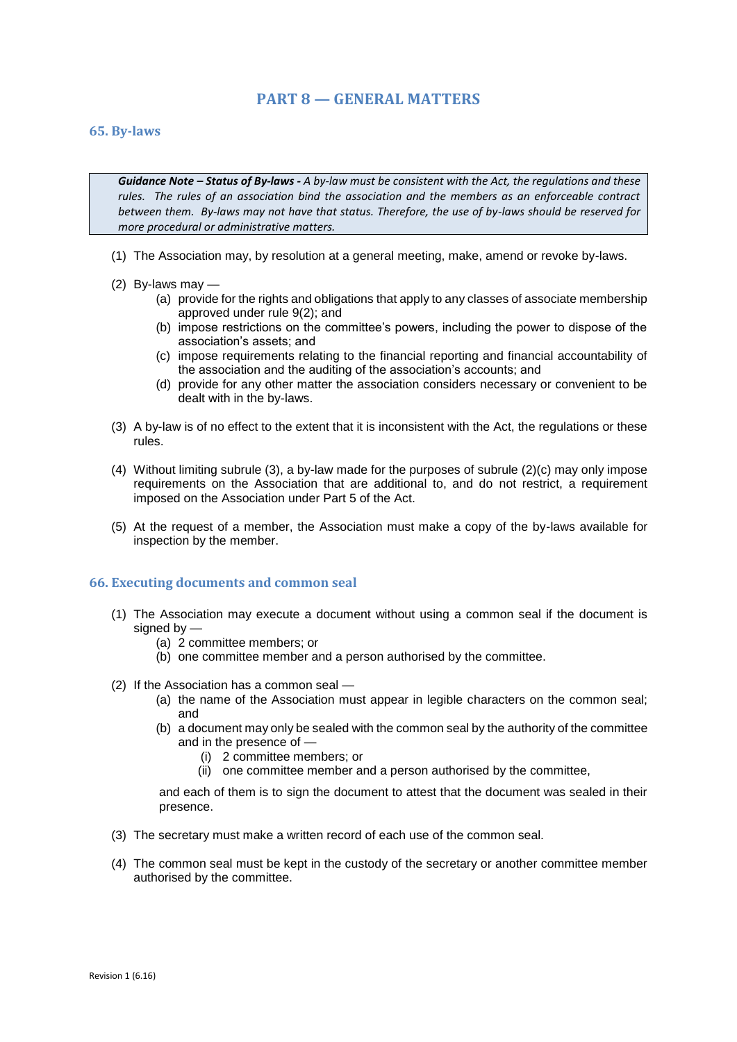## **PART 8 — GENERAL MATTERS**

### **65. By-laws**

*Guidance Note – Status of By-laws - A by-law must be consistent with the Act, the regulations and these rules. The rules of an association bind the association and the members as an enforceable contract between them. By-laws may not have that status. Therefore, the use of by-laws should be reserved for more procedural or administrative matters.* 

- (1) The Association may, by resolution at a general meeting, make, amend or revoke by-laws.
- (2) By-laws may
	- (a) provide for the rights and obligations that apply to any classes of associate membership approved under rule 9(2); and
	- (b) impose restrictions on the committee's powers, including the power to dispose of the association's assets; and
	- (c) impose requirements relating to the financial reporting and financial accountability of the association and the auditing of the association's accounts; and
	- (d) provide for any other matter the association considers necessary or convenient to be dealt with in the by-laws.
- (3) A by-law is of no effect to the extent that it is inconsistent with the Act, the regulations or these rules.
- (4) Without limiting subrule (3), a by-law made for the purposes of subrule (2)(c) may only impose requirements on the Association that are additional to, and do not restrict, a requirement imposed on the Association under Part 5 of the Act.
- (5) At the request of a member, the Association must make a copy of the by-laws available for inspection by the member.

### **66. Executing documents and common seal**

- (1) The Association may execute a document without using a common seal if the document is signed by —
	- (a) 2 committee members; or
	- (b) one committee member and a person authorised by the committee.
- (2) If the Association has a common seal
	- (a) the name of the Association must appear in legible characters on the common seal; and
	- (b) a document may only be sealed with the common seal by the authority of the committee and in the presence of —
		- (i) 2 committee members; or
		- (ii) one committee member and a person authorised by the committee,

and each of them is to sign the document to attest that the document was sealed in their presence.

- (3) The secretary must make a written record of each use of the common seal.
- (4) The common seal must be kept in the custody of the secretary or another committee member authorised by the committee.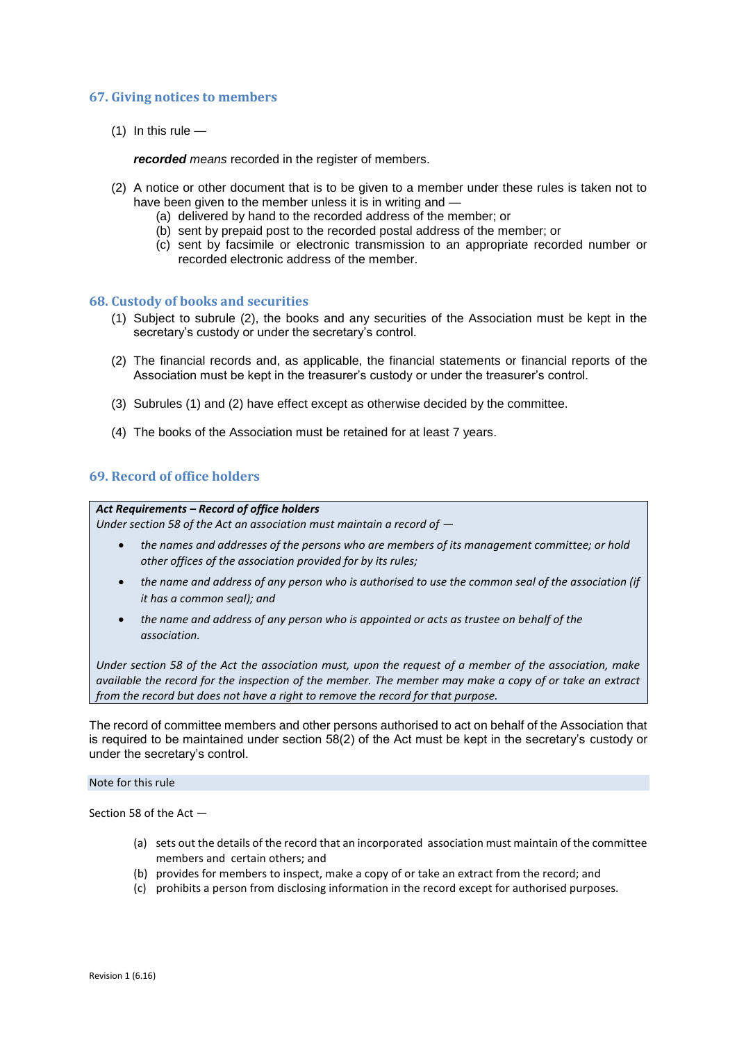## **67. Giving notices to members**

 $(1)$  In this rule  $-$ 

*recorded means* recorded in the register of members.

- (2) A notice or other document that is to be given to a member under these rules is taken not to have been given to the member unless it is in writing and -
	- (a) delivered by hand to the recorded address of the member; or
	- (b) sent by prepaid post to the recorded postal address of the member; or
	- (c) sent by facsimile or electronic transmission to an appropriate recorded number or recorded electronic address of the member.

### **68. Custody of books and securities**

- (1) Subject to subrule (2), the books and any securities of the Association must be kept in the secretary's custody or under the secretary's control.
- (2) The financial records and, as applicable, the financial statements or financial reports of the Association must be kept in the treasurer's custody or under the treasurer's control.
- (3) Subrules (1) and (2) have effect except as otherwise decided by the committee.
- (4) The books of the Association must be retained for at least 7 years.

## **69. Record of office holders**

### *Act Requirements – Record of office holders*

*Under section 58 of the Act an association must maintain a record of —*

- *the names and addresses of the persons who are members of its management committee; or hold other offices of the association provided for by its rules;*
- *the name and address of any person who is authorised to use the common seal of the association (if it has a common seal); and*
- *the name and address of any person who is appointed or acts as trustee on behalf of the association.*

*Under section 58 of the Act the association must, upon the request of a member of the association, make available the record for the inspection of the member. The member may make a copy of or take an extract from the record but does not have a right to remove the record for that purpose.*

The record of committee members and other persons authorised to act on behalf of the Association that is required to be maintained under section 58(2) of the Act must be kept in the secretary's custody or under the secretary's control.

## Note for this rule

Section 58 of the Act —

- (a) sets out the details of the record that an incorporated association must maintain of the committee members and certain others; and
- (b) provides for members to inspect, make a copy of or take an extract from the record; and
- (c) prohibits a person from disclosing information in the record except for authorised purposes.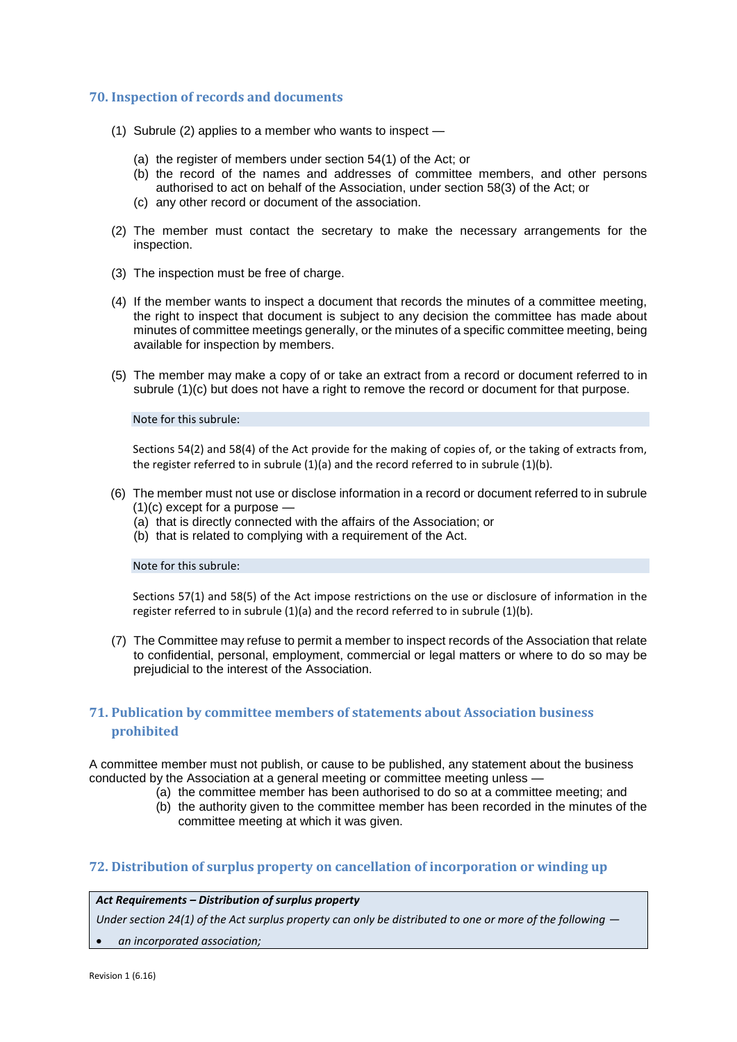## **70. Inspection of records and documents**

- (1) Subrule (2) applies to a member who wants to inspect
	- (a) the register of members under section 54(1) of the Act; or
	- (b) the record of the names and addresses of committee members, and other persons authorised to act on behalf of the Association, under section 58(3) of the Act; or
	- (c) any other record or document of the association.
- (2) The member must contact the secretary to make the necessary arrangements for the inspection.
- (3) The inspection must be free of charge.
- (4) If the member wants to inspect a document that records the minutes of a committee meeting, the right to inspect that document is subject to any decision the committee has made about minutes of committee meetings generally, or the minutes of a specific committee meeting, being available for inspection by members.
- (5) The member may make a copy of or take an extract from a record or document referred to in subrule (1)(c) but does not have a right to remove the record or document for that purpose.

#### Note for this subrule:

Sections 54(2) and 58(4) of the Act provide for the making of copies of, or the taking of extracts from, the register referred to in subrule (1)(a) and the record referred to in subrule (1)(b).

- (6) The member must not use or disclose information in a record or document referred to in subrule (1)(c) except for a purpose —
	- (a) that is directly connected with the affairs of the Association; or
	- (b) that is related to complying with a requirement of the Act.

#### Note for this subrule:

Sections 57(1) and 58(5) of the Act impose restrictions on the use or disclosure of information in the register referred to in subrule (1)(a) and the record referred to in subrule (1)(b).

(7) The Committee may refuse to permit a member to inspect records of the Association that relate to confidential, personal, employment, commercial or legal matters or where to do so may be prejudicial to the interest of the Association.

## **71. Publication by committee members of statements about Association business prohibited**

A committee member must not publish, or cause to be published, any statement about the business conducted by the Association at a general meeting or committee meeting unless —

- (a) the committee member has been authorised to do so at a committee meeting; and
- (b) the authority given to the committee member has been recorded in the minutes of the committee meeting at which it was given.

### **72. Distribution of surplus property on cancellation of incorporation or winding up**

#### *Act Requirements – Distribution of surplus property*

*Under section 24(1) of the Act surplus property can only be distributed to one or more of the following*  $-$ 

*an incorporated association;*